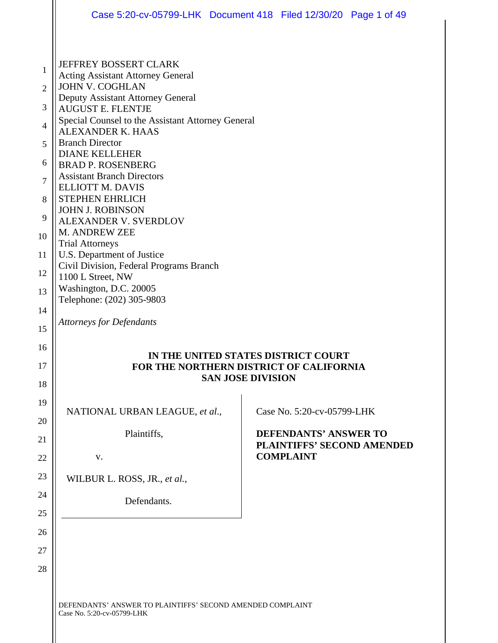|                                                                                                          | Case 5:20-cv-05799-LHK Document 418 Filed 12/30/20 Page 1 of 49                                                                                                                                                                                                                                                                                                                                                                                                                                                                                                                                                                                      |  |  |  |  |  |  |
|----------------------------------------------------------------------------------------------------------|------------------------------------------------------------------------------------------------------------------------------------------------------------------------------------------------------------------------------------------------------------------------------------------------------------------------------------------------------------------------------------------------------------------------------------------------------------------------------------------------------------------------------------------------------------------------------------------------------------------------------------------------------|--|--|--|--|--|--|
| 1<br>$\overline{2}$<br>3<br>$\overline{4}$<br>5<br>6<br>$\overline{7}$<br>8<br>9<br>10<br>11<br>12<br>13 | <b>JEFFREY BOSSERT CLARK</b><br><b>Acting Assistant Attorney General</b><br><b>JOHN V. COGHLAN</b><br>Deputy Assistant Attorney General<br><b>AUGUST E. FLENTJE</b><br>Special Counsel to the Assistant Attorney General<br><b>ALEXANDER K. HAAS</b><br><b>Branch Director</b><br><b>DIANE KELLEHER</b><br><b>BRAD P. ROSENBERG</b><br><b>Assistant Branch Directors</b><br><b>ELLIOTT M. DAVIS</b><br>STEPHEN EHRLICH<br><b>JOHN J. ROBINSON</b><br><b>ALEXANDER V. SVERDLOV</b><br>M. ANDREW ZEE<br><b>Trial Attorneys</b><br>U.S. Department of Justice<br>Civil Division, Federal Programs Branch<br>1100 L Street, NW<br>Washington, D.C. 20005 |  |  |  |  |  |  |
| 14<br>15                                                                                                 | Telephone: (202) 305-9803<br><b>Attorneys for Defendants</b>                                                                                                                                                                                                                                                                                                                                                                                                                                                                                                                                                                                         |  |  |  |  |  |  |
| 16<br>17<br>18                                                                                           | IN THE UNITED STATES DISTRICT COURT<br>FOR THE NORTHERN DISTRICT OF CALIFORNIA<br><b>SAN JOSE DIVISION</b>                                                                                                                                                                                                                                                                                                                                                                                                                                                                                                                                           |  |  |  |  |  |  |
| 19<br>20                                                                                                 | NATIONAL URBAN LEAGUE, et al.,<br>Case No. 5:20-cv-05799-LHK                                                                                                                                                                                                                                                                                                                                                                                                                                                                                                                                                                                         |  |  |  |  |  |  |
| 21<br>22                                                                                                 | Plaintiffs,<br><b>DEFENDANTS' ANSWER TO</b><br><b>PLAINTIFFS' SECOND AMENDED</b><br><b>COMPLAINT</b><br>V.                                                                                                                                                                                                                                                                                                                                                                                                                                                                                                                                           |  |  |  |  |  |  |
| 23<br>24<br>25                                                                                           | WILBUR L. ROSS, JR., et al.,<br>Defendants.                                                                                                                                                                                                                                                                                                                                                                                                                                                                                                                                                                                                          |  |  |  |  |  |  |
| 26<br>27<br>28                                                                                           |                                                                                                                                                                                                                                                                                                                                                                                                                                                                                                                                                                                                                                                      |  |  |  |  |  |  |
|                                                                                                          | DEFENDANTS' ANSWER TO PLAINTIFFS' SECOND AMENDED COMPLAINT<br>Case No. 5:20-cv-05799-LHK                                                                                                                                                                                                                                                                                                                                                                                                                                                                                                                                                             |  |  |  |  |  |  |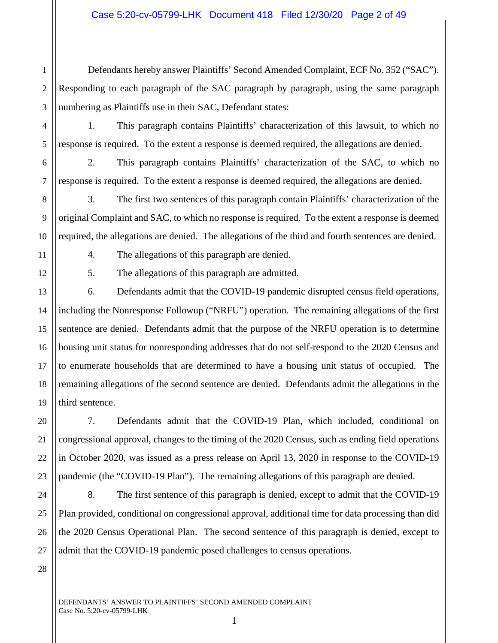2 3 Defendants hereby answer Plaintiffs' Second Amended Complaint, ECF No. 352 ("SAC"). Responding to each paragraph of the SAC paragraph by paragraph, using the same paragraph numbering as Plaintiffs use in their SAC, Defendant states:

1. This paragraph contains Plaintiffs' characterization of this lawsuit, to which no response is required. To the extent a response is deemed required, the allegations are denied.

2. This paragraph contains Plaintiffs' characterization of the SAC, to which no response is required. To the extent a response is deemed required, the allegations are denied.

3. The first two sentences of this paragraph contain Plaintiffs' characterization of the original Complaint and SAC, to which no response is required. To the extent a response is deemed required, the allegations are denied. The allegations of the third and fourth sentences are denied.

1

4

5

6

7

8

9

10

11

12

20

21

22

23

24

25

26

27

4. The allegations of this paragraph are denied.

5. The allegations of this paragraph are admitted.

13 14 15 16 17 18 19 6. Defendants admit that the COVID-19 pandemic disrupted census field operations, including the Nonresponse Followup ("NRFU") operation. The remaining allegations of the first sentence are denied. Defendants admit that the purpose of the NRFU operation is to determine housing unit status for nonresponding addresses that do not self-respond to the 2020 Census and to enumerate households that are determined to have a housing unit status of occupied. The remaining allegations of the second sentence are denied. Defendants admit the allegations in the third sentence.

7. Defendants admit that the COVID-19 Plan, which included, conditional on congressional approval, changes to the timing of the 2020 Census, such as ending field operations in October 2020, was issued as a press release on April 13, 2020 in response to the COVID-19 pandemic (the "COVID-19 Plan"). The remaining allegations of this paragraph are denied.

8. The first sentence of this paragraph is denied, except to admit that the COVID-19 Plan provided, conditional on congressional approval, additional time for data processing than did the 2020 Census Operational Plan. The second sentence of this paragraph is denied, except to admit that the COVID-19 pandemic posed challenges to census operations.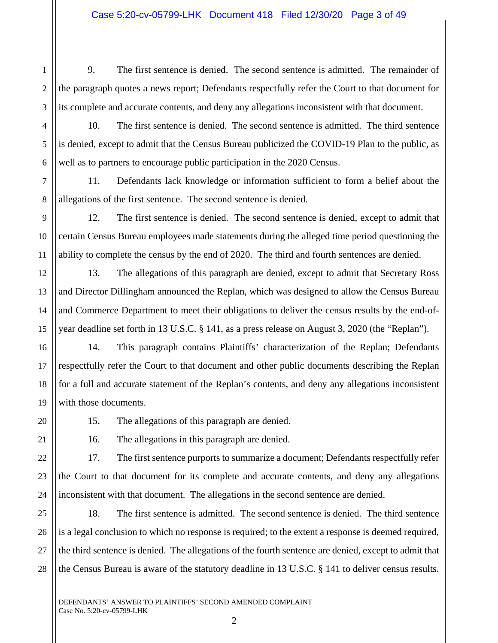1

2

3

4

5

6

7

8

9

10

11

12

13

14

15

16

17

18

19

20

22

23

24

9. The first sentence is denied. The second sentence is admitted. The remainder of the paragraph quotes a news report; Defendants respectfully refer the Court to that document for its complete and accurate contents, and deny any allegations inconsistent with that document.

10. The first sentence is denied. The second sentence is admitted. The third sentence is denied, except to admit that the Census Bureau publicized the COVID-19 Plan to the public, as well as to partners to encourage public participation in the 2020 Census.

11. Defendants lack knowledge or information sufficient to form a belief about the allegations of the first sentence. The second sentence is denied.

12. The first sentence is denied. The second sentence is denied, except to admit that certain Census Bureau employees made statements during the alleged time period questioning the ability to complete the census by the end of 2020. The third and fourth sentences are denied.

13. The allegations of this paragraph are denied, except to admit that Secretary Ross and Director Dillingham announced the Replan, which was designed to allow the Census Bureau and Commerce Department to meet their obligations to deliver the census results by the end-ofyear deadline set forth in 13 U.S.C. § 141, as a press release on August 3, 2020 (the "Replan").

14. This paragraph contains Plaintiffs' characterization of the Replan; Defendants respectfully refer the Court to that document and other public documents describing the Replan for a full and accurate statement of the Replan's contents, and deny any allegations inconsistent with those documents.

15. The allegations of this paragraph are denied.

21

16. The allegations in this paragraph are denied.

17. The first sentence purports to summarize a document; Defendants respectfully refer the Court to that document for its complete and accurate contents, and deny any allegations inconsistent with that document. The allegations in the second sentence are denied.

25 26 27 28 18. The first sentence is admitted. The second sentence is denied. The third sentence is a legal conclusion to which no response is required; to the extent a response is deemed required, the third sentence is denied. The allegations of the fourth sentence are denied, except to admit that the Census Bureau is aware of the statutory deadline in 13 U.S.C. § 141 to deliver census results.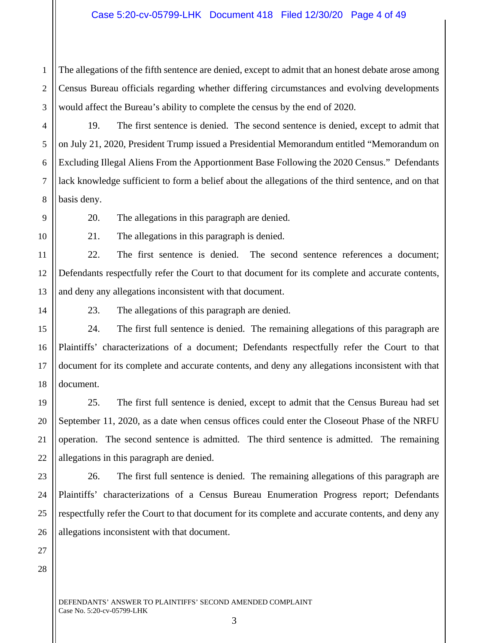1 2 3 The allegations of the fifth sentence are denied, except to admit that an honest debate arose among Census Bureau officials regarding whether differing circumstances and evolving developments would affect the Bureau's ability to complete the census by the end of 2020.

19. The first sentence is denied. The second sentence is denied, except to admit that on July 21, 2020, President Trump issued a Presidential Memorandum entitled "Memorandum on Excluding Illegal Aliens From the Apportionment Base Following the 2020 Census." Defendants lack knowledge sufficient to form a belief about the allegations of the third sentence, and on that basis deny.

4

5

6

7

8

9

10

11

14

15

16

17

18

21

23

24

25

26

27

20. The allegations in this paragraph are denied.

21. The allegations in this paragraph is denied.

12 13 22. The first sentence is denied. The second sentence references a document; Defendants respectfully refer the Court to that document for its complete and accurate contents, and deny any allegations inconsistent with that document.

23. The allegations of this paragraph are denied.

24. The first full sentence is denied. The remaining allegations of this paragraph are Plaintiffs' characterizations of a document; Defendants respectfully refer the Court to that document for its complete and accurate contents, and deny any allegations inconsistent with that document.

19 20 22 25. The first full sentence is denied, except to admit that the Census Bureau had set September 11, 2020, as a date when census offices could enter the Closeout Phase of the NRFU operation. The second sentence is admitted. The third sentence is admitted. The remaining allegations in this paragraph are denied.

26. The first full sentence is denied. The remaining allegations of this paragraph are Plaintiffs' characterizations of a Census Bureau Enumeration Progress report; Defendants respectfully refer the Court to that document for its complete and accurate contents, and deny any allegations inconsistent with that document.

28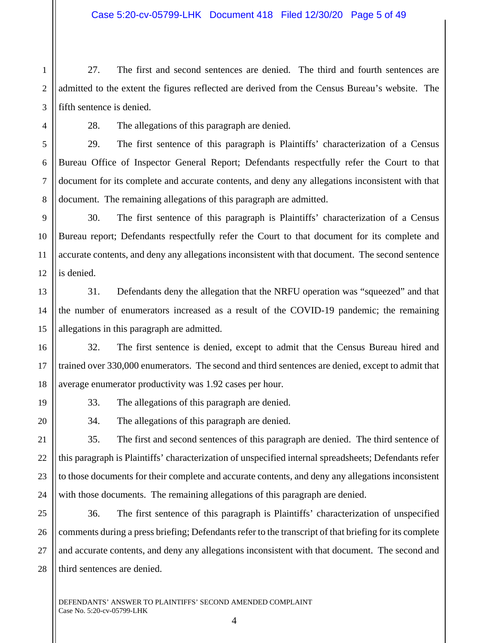1 2 3 27. The first and second sentences are denied. The third and fourth sentences are admitted to the extent the figures reflected are derived from the Census Bureau's website. The fifth sentence is denied.

4

5

6

7

8

16

17

18

19

20

21

22

23

24

28. The allegations of this paragraph are denied.

29. The first sentence of this paragraph is Plaintiffs' characterization of a Census Bureau Office of Inspector General Report; Defendants respectfully refer the Court to that document for its complete and accurate contents, and deny any allegations inconsistent with that document. The remaining allegations of this paragraph are admitted.

9 10 11 12 30. The first sentence of this paragraph is Plaintiffs' characterization of a Census Bureau report; Defendants respectfully refer the Court to that document for its complete and accurate contents, and deny any allegations inconsistent with that document. The second sentence is denied.

13 14 15 31. Defendants deny the allegation that the NRFU operation was "squeezed" and that the number of enumerators increased as a result of the COVID-19 pandemic; the remaining allegations in this paragraph are admitted.

32. The first sentence is denied, except to admit that the Census Bureau hired and trained over 330,000 enumerators. The second and third sentences are denied, except to admit that average enumerator productivity was 1.92 cases per hour.

33. The allegations of this paragraph are denied.

34. The allegations of this paragraph are denied.

35. The first and second sentences of this paragraph are denied. The third sentence of this paragraph is Plaintiffs' characterization of unspecified internal spreadsheets; Defendants refer to those documents for their complete and accurate contents, and deny any allegations inconsistent with those documents. The remaining allegations of this paragraph are denied.

25 26 27 28 36. The first sentence of this paragraph is Plaintiffs' characterization of unspecified comments during a press briefing; Defendants refer to the transcript of that briefing for its complete and accurate contents, and deny any allegations inconsistent with that document. The second and third sentences are denied.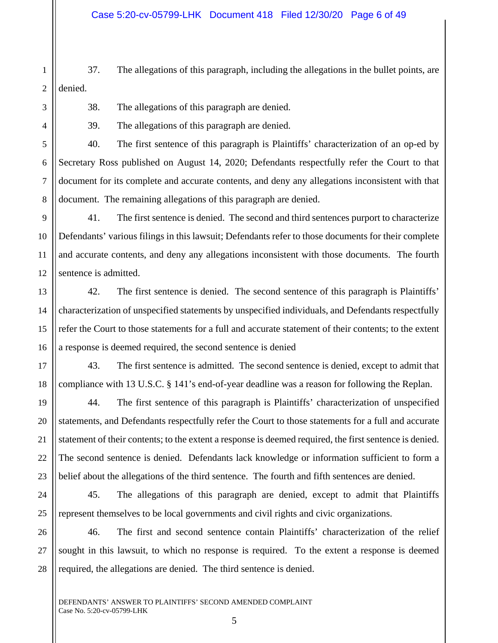1 2 37. The allegations of this paragraph, including the allegations in the bullet points, are denied.

3

4

5

6

7

8

17

18

19

20

21

23

38. The allegations of this paragraph are denied.

39. The allegations of this paragraph are denied.

40. The first sentence of this paragraph is Plaintiffs' characterization of an op-ed by Secretary Ross published on August 14, 2020; Defendants respectfully refer the Court to that document for its complete and accurate contents, and deny any allegations inconsistent with that document. The remaining allegations of this paragraph are denied.

9 10 11 12 41. The first sentence is denied. The second and third sentences purport to characterize Defendants' various filings in this lawsuit; Defendants refer to those documents for their complete and accurate contents, and deny any allegations inconsistent with those documents. The fourth sentence is admitted.

13 14 15 16 42. The first sentence is denied. The second sentence of this paragraph is Plaintiffs' characterization of unspecified statements by unspecified individuals, and Defendants respectfully refer the Court to those statements for a full and accurate statement of their contents; to the extent a response is deemed required, the second sentence is denied

43. The first sentence is admitted. The second sentence is denied, except to admit that compliance with 13 U.S.C. § 141's end-of-year deadline was a reason for following the Replan.

22 44. The first sentence of this paragraph is Plaintiffs' characterization of unspecified statements, and Defendants respectfully refer the Court to those statements for a full and accurate statement of their contents; to the extent a response is deemed required, the first sentence is denied. The second sentence is denied. Defendants lack knowledge or information sufficient to form a belief about the allegations of the third sentence. The fourth and fifth sentences are denied.

24 25 45. The allegations of this paragraph are denied, except to admit that Plaintiffs represent themselves to be local governments and civil rights and civic organizations.

26 27 28 46. The first and second sentence contain Plaintiffs' characterization of the relief sought in this lawsuit, to which no response is required. To the extent a response is deemed required, the allegations are denied. The third sentence is denied.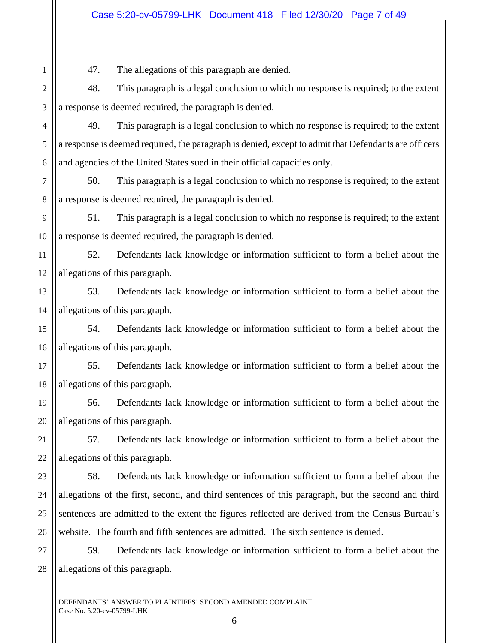## Case 5:20-cv-05799-LHK Document 418 Filed 12/30/20 Page 7 of 49

47. The allegations of this paragraph are denied.

1

2 3 48. This paragraph is a legal conclusion to which no response is required; to the extent a response is deemed required, the paragraph is denied.

4 5 6 49. This paragraph is a legal conclusion to which no response is required; to the extent a response is deemed required, the paragraph is denied, except to admit that Defendants are officers and agencies of the United States sued in their official capacities only.

7 8 50. This paragraph is a legal conclusion to which no response is required; to the extent a response is deemed required, the paragraph is denied.

9 10 51. This paragraph is a legal conclusion to which no response is required; to the extent a response is deemed required, the paragraph is denied.

11 12 52. Defendants lack knowledge or information sufficient to form a belief about the allegations of this paragraph.

13 14 53. Defendants lack knowledge or information sufficient to form a belief about the allegations of this paragraph.

15 16 54. Defendants lack knowledge or information sufficient to form a belief about the allegations of this paragraph.

17 18 55. Defendants lack knowledge or information sufficient to form a belief about the allegations of this paragraph.

19 20 56. Defendants lack knowledge or information sufficient to form a belief about the allegations of this paragraph.

21 22 57. Defendants lack knowledge or information sufficient to form a belief about the allegations of this paragraph.

23 24 25 26 58. Defendants lack knowledge or information sufficient to form a belief about the allegations of the first, second, and third sentences of this paragraph, but the second and third sentences are admitted to the extent the figures reflected are derived from the Census Bureau's website. The fourth and fifth sentences are admitted. The sixth sentence is denied.

27 28 59. Defendants lack knowledge or information sufficient to form a belief about the allegations of this paragraph.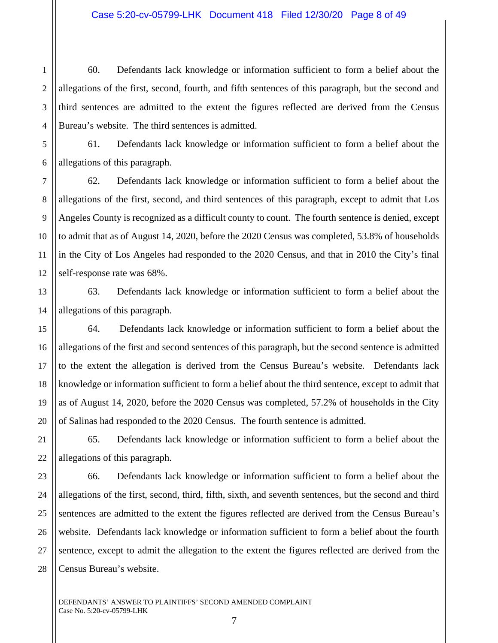60. Defendants lack knowledge or information sufficient to form a belief about the allegations of the first, second, fourth, and fifth sentences of this paragraph, but the second and third sentences are admitted to the extent the figures reflected are derived from the Census Bureau's website. The third sentences is admitted.

1

2

3

61. Defendants lack knowledge or information sufficient to form a belief about the allegations of this paragraph.

62. Defendants lack knowledge or information sufficient to form a belief about the allegations of the first, second, and third sentences of this paragraph, except to admit that Los Angeles County is recognized as a difficult county to count. The fourth sentence is denied, except to admit that as of August 14, 2020, before the 2020 Census was completed, 53.8% of households in the City of Los Angeles had responded to the 2020 Census, and that in 2010 the City's final self-response rate was 68%.

63. Defendants lack knowledge or information sufficient to form a belief about the allegations of this paragraph.

64. Defendants lack knowledge or information sufficient to form a belief about the allegations of the first and second sentences of this paragraph, but the second sentence is admitted to the extent the allegation is derived from the Census Bureau's website. Defendants lack knowledge or information sufficient to form a belief about the third sentence, except to admit that as of August 14, 2020, before the 2020 Census was completed, 57.2% of households in the City of Salinas had responded to the 2020 Census. The fourth sentence is admitted.

65. Defendants lack knowledge or information sufficient to form a belief about the allegations of this paragraph.

66. Defendants lack knowledge or information sufficient to form a belief about the allegations of the first, second, third, fifth, sixth, and seventh sentences, but the second and third sentences are admitted to the extent the figures reflected are derived from the Census Bureau's website. Defendants lack knowledge or information sufficient to form a belief about the fourth sentence, except to admit the allegation to the extent the figures reflected are derived from the Census Bureau's website.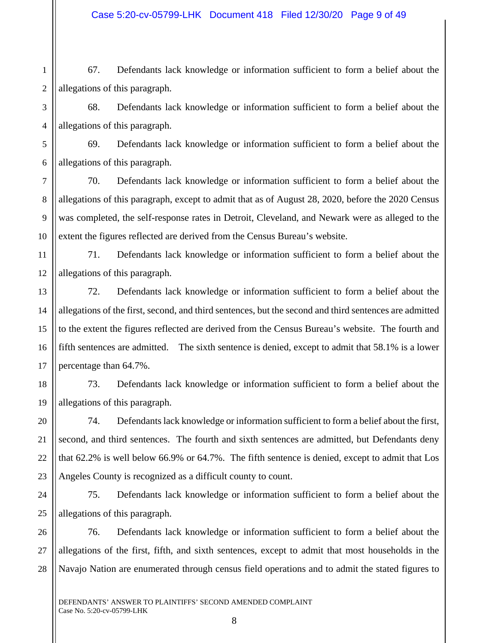## Case 5:20-cv-05799-LHK Document 418 Filed 12/30/20 Page 9 of 49

1 2 67. Defendants lack knowledge or information sufficient to form a belief about the allegations of this paragraph.

3

4

5

7

8

9

10

14

15

16

17

20

21

22

23

68. Defendants lack knowledge or information sufficient to form a belief about the allegations of this paragraph.

6 69. Defendants lack knowledge or information sufficient to form a belief about the allegations of this paragraph.

70. Defendants lack knowledge or information sufficient to form a belief about the allegations of this paragraph, except to admit that as of August 28, 2020, before the 2020 Census was completed, the self-response rates in Detroit, Cleveland, and Newark were as alleged to the extent the figures reflected are derived from the Census Bureau's website.

11 12 71. Defendants lack knowledge or information sufficient to form a belief about the allegations of this paragraph.

13 72. Defendants lack knowledge or information sufficient to form a belief about the allegations of the first, second, and third sentences, but the second and third sentences are admitted to the extent the figures reflected are derived from the Census Bureau's website. The fourth and fifth sentences are admitted. The sixth sentence is denied, except to admit that 58.1% is a lower percentage than 64.7%.

18 19 73. Defendants lack knowledge or information sufficient to form a belief about the allegations of this paragraph.

74. Defendants lack knowledge or information sufficient to form a belief about the first, second, and third sentences. The fourth and sixth sentences are admitted, but Defendants deny that 62.2% is well below 66.9% or 64.7%. The fifth sentence is denied, except to admit that Los Angeles County is recognized as a difficult county to count.

24 25 75. Defendants lack knowledge or information sufficient to form a belief about the allegations of this paragraph.

26 27 28 76. Defendants lack knowledge or information sufficient to form a belief about the allegations of the first, fifth, and sixth sentences, except to admit that most households in the Navajo Nation are enumerated through census field operations and to admit the stated figures to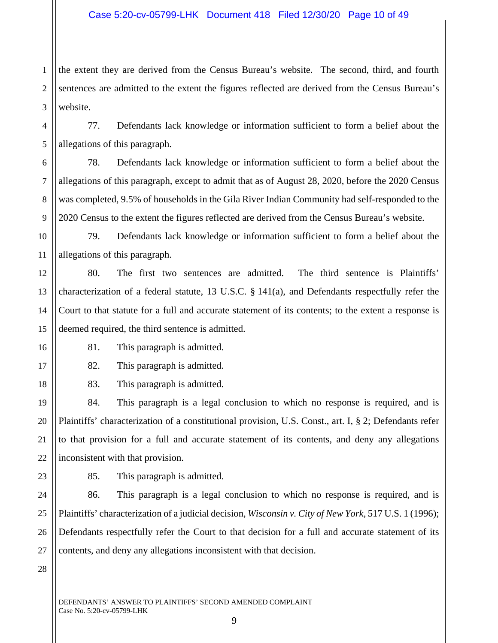1 2 3 the extent they are derived from the Census Bureau's website. The second, third, and fourth sentences are admitted to the extent the figures reflected are derived from the Census Bureau's website.

77. Defendants lack knowledge or information sufficient to form a belief about the allegations of this paragraph.

6 7 8 9 78. Defendants lack knowledge or information sufficient to form a belief about the allegations of this paragraph, except to admit that as of August 28, 2020, before the 2020 Census was completed, 9.5% of households in the Gila River Indian Community had self-responded to the 2020 Census to the extent the figures reflected are derived from the Census Bureau's website.

79. Defendants lack knowledge or information sufficient to form a belief about the allegations of this paragraph.

12 13 14 15 80. The first two sentences are admitted. The third sentence is Plaintiffs' characterization of a federal statute, 13 U.S.C. § 141(a), and Defendants respectfully refer the Court to that statute for a full and accurate statement of its contents; to the extent a response is deemed required, the third sentence is admitted.

16

4

5

10

11

17

18

19

20

21

81. This paragraph is admitted.

82. This paragraph is admitted.

83. This paragraph is admitted.

84. This paragraph is a legal conclusion to which no response is required, and is Plaintiffs' characterization of a constitutional provision, U.S. Const., art. I, § 2; Defendants refer to that provision for a full and accurate statement of its contents, and deny any allegations inconsistent with that provision.

85. This paragraph is admitted.

86. This paragraph is a legal conclusion to which no response is required, and is Plaintiffs' characterization of a judicial decision, *Wisconsin v. City of New York*, 517 U.S. 1 (1996); Defendants respectfully refer the Court to that decision for a full and accurate statement of its contents, and deny any allegations inconsistent with that decision.

28

26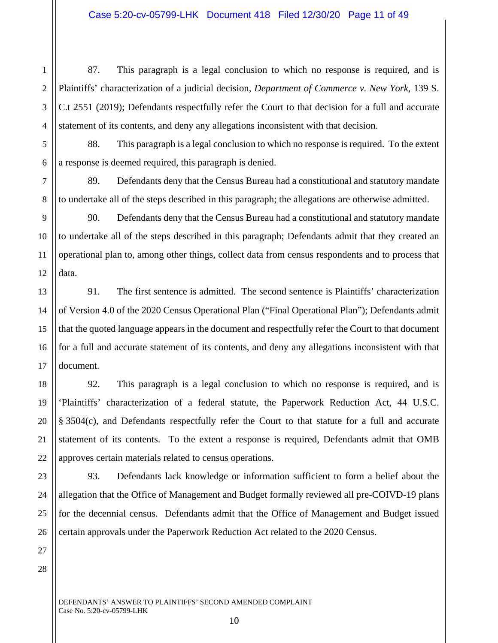87. This paragraph is a legal conclusion to which no response is required, and is Plaintiffs' characterization of a judicial decision, *Department of Commerce v. New York*, 139 S. C.t 2551 (2019); Defendants respectfully refer the Court to that decision for a full and accurate statement of its contents, and deny any allegations inconsistent with that decision.

88. This paragraph is a legal conclusion to which no response is required. To the extent a response is deemed required, this paragraph is denied.

89. Defendants deny that the Census Bureau had a constitutional and statutory mandate to undertake all of the steps described in this paragraph; the allegations are otherwise admitted.

90. Defendants deny that the Census Bureau had a constitutional and statutory mandate to undertake all of the steps described in this paragraph; Defendants admit that they created an operational plan to, among other things, collect data from census respondents and to process that data.

91. The first sentence is admitted. The second sentence is Plaintiffs' characterization of Version 4.0 of the 2020 Census Operational Plan ("Final Operational Plan"); Defendants admit that the quoted language appears in the document and respectfully refer the Court to that document for a full and accurate statement of its contents, and deny any allegations inconsistent with that document.

92. This paragraph is a legal conclusion to which no response is required, and is 'Plaintiffs' characterization of a federal statute, the Paperwork Reduction Act, 44 U.S.C. § 3504(c), and Defendants respectfully refer the Court to that statute for a full and accurate statement of its contents. To the extent a response is required, Defendants admit that OMB approves certain materials related to census operations.

93. Defendants lack knowledge or information sufficient to form a belief about the allegation that the Office of Management and Budget formally reviewed all pre-COIVD-19 plans for the decennial census. Defendants admit that the Office of Management and Budget issued certain approvals under the Paperwork Reduction Act related to the 2020 Census.

28

1

2

3

4

5

6

7

8

9

10

11

12

13

14

15

16

17

18

19

20

21

22

23

24

25

26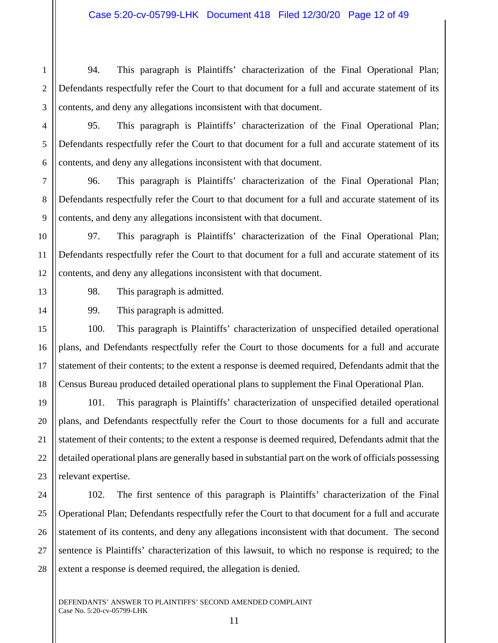1 2 3 94. This paragraph is Plaintiffs' characterization of the Final Operational Plan; Defendants respectfully refer the Court to that document for a full and accurate statement of its contents, and deny any allegations inconsistent with that document.

95. This paragraph is Plaintiffs' characterization of the Final Operational Plan; Defendants respectfully refer the Court to that document for a full and accurate statement of its contents, and deny any allegations inconsistent with that document.

96. This paragraph is Plaintiffs' characterization of the Final Operational Plan; Defendants respectfully refer the Court to that document for a full and accurate statement of its contents, and deny any allegations inconsistent with that document.

97. This paragraph is Plaintiffs' characterization of the Final Operational Plan; Defendants respectfully refer the Court to that document for a full and accurate statement of its contents, and deny any allegations inconsistent with that document.

98. This paragraph is admitted.

99. This paragraph is admitted.

100. This paragraph is Plaintiffs' characterization of unspecified detailed operational plans, and Defendants respectfully refer the Court to those documents for a full and accurate statement of their contents; to the extent a response is deemed required, Defendants admit that the Census Bureau produced detailed operational plans to supplement the Final Operational Plan.

101. This paragraph is Plaintiffs' characterization of unspecified detailed operational plans, and Defendants respectfully refer the Court to those documents for a full and accurate statement of their contents; to the extent a response is deemed required, Defendants admit that the detailed operational plans are generally based in substantial part on the work of officials possessing relevant expertise.

102. The first sentence of this paragraph is Plaintiffs' characterization of the Final Operational Plan; Defendants respectfully refer the Court to that document for a full and accurate statement of its contents, and deny any allegations inconsistent with that document. The second sentence is Plaintiffs' characterization of this lawsuit, to which no response is required; to the extent a response is deemed required, the allegation is denied.

4

5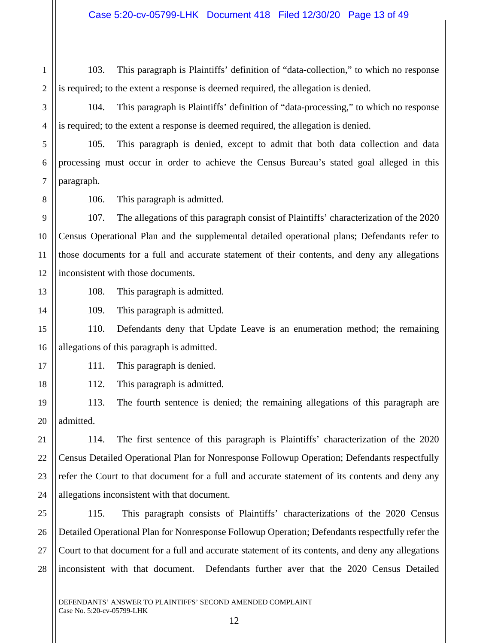2 103. This paragraph is Plaintiffs' definition of "data-collection," to which no response is required; to the extent a response is deemed required, the allegation is denied.

104. This paragraph is Plaintiffs' definition of "data-processing," to which no response is required; to the extent a response is deemed required, the allegation is denied.

105. This paragraph is denied, except to admit that both data collection and data processing must occur in order to achieve the Census Bureau's stated goal alleged in this paragraph.

1

3

4

5

6

7

106. This paragraph is admitted.

107. The allegations of this paragraph consist of Plaintiffs' characterization of the 2020 Census Operational Plan and the supplemental detailed operational plans; Defendants refer to those documents for a full and accurate statement of their contents, and deny any allegations inconsistent with those documents.

13

12

14

17

18

21

108. This paragraph is admitted.

109. This paragraph is admitted.

15 16 110. Defendants deny that Update Leave is an enumeration method; the remaining allegations of this paragraph is admitted.

- 111. This paragraph is denied.
- 112. This paragraph is admitted.

19 20 113. The fourth sentence is denied; the remaining allegations of this paragraph are admitted.

22 23 24 114. The first sentence of this paragraph is Plaintiffs' characterization of the 2020 Census Detailed Operational Plan for Nonresponse Followup Operation; Defendants respectfully refer the Court to that document for a full and accurate statement of its contents and deny any allegations inconsistent with that document.

25 26 27 28 115. This paragraph consists of Plaintiffs' characterizations of the 2020 Census Detailed Operational Plan for Nonresponse Followup Operation; Defendants respectfully refer the Court to that document for a full and accurate statement of its contents, and deny any allegations inconsistent with that document. Defendants further aver that the 2020 Census Detailed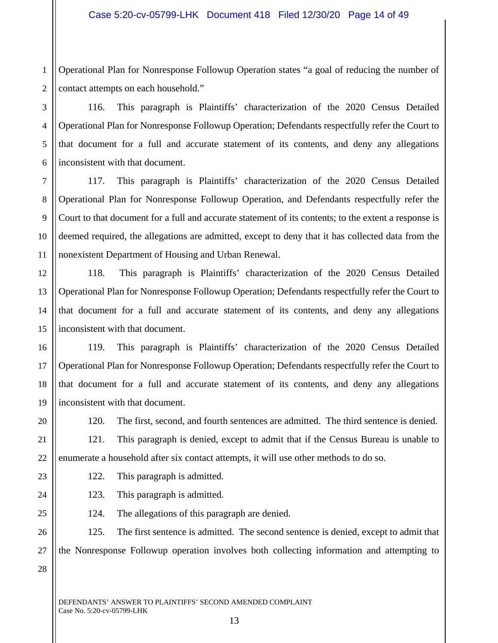1 2 Operational Plan for Nonresponse Followup Operation states "a goal of reducing the number of contact attempts on each household."

116. This paragraph is Plaintiffs' characterization of the 2020 Census Detailed Operational Plan for Nonresponse Followup Operation; Defendants respectfully refer the Court to that document for a full and accurate statement of its contents, and deny any allegations inconsistent with that document.

117. This paragraph is Plaintiffs' characterization of the 2020 Census Detailed Operational Plan for Nonresponse Followup Operation, and Defendants respectfully refer the Court to that document for a full and accurate statement of its contents; to the extent a response is deemed required, the allegations are admitted, except to deny that it has collected data from the nonexistent Department of Housing and Urban Renewal.

13 118. This paragraph is Plaintiffs' characterization of the 2020 Census Detailed Operational Plan for Nonresponse Followup Operation; Defendants respectfully refer the Court to that document for a full and accurate statement of its contents, and deny any allegations inconsistent with that document.

19 119. This paragraph is Plaintiffs' characterization of the 2020 Census Detailed Operational Plan for Nonresponse Followup Operation; Defendants respectfully refer the Court to that document for a full and accurate statement of its contents, and deny any allegations inconsistent with that document.

20 21

22

23

24

25

3

4

5

6

7

8

9

10

11

12

14

15

16

17

18

120. The first, second, and fourth sentences are admitted. The third sentence is denied. 121. This paragraph is denied, except to admit that if the Census Bureau is unable to enumerate a household after six contact attempts, it will use other methods to do so.

- 122. This paragraph is admitted.
	- 123. This paragraph is admitted.

124. The allegations of this paragraph are denied.

26 27 125. The first sentence is admitted. The second sentence is denied, except to admit that the Nonresponse Followup operation involves both collecting information and attempting to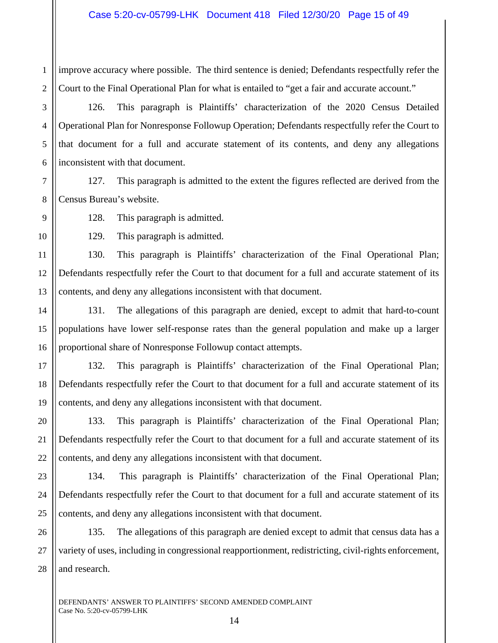2 improve accuracy where possible. The third sentence is denied; Defendants respectfully refer the Court to the Final Operational Plan for what is entailed to "get a fair and accurate account."

126. This paragraph is Plaintiffs' characterization of the 2020 Census Detailed Operational Plan for Nonresponse Followup Operation; Defendants respectfully refer the Court to that document for a full and accurate statement of its contents, and deny any allegations inconsistent with that document.

127. This paragraph is admitted to the extent the figures reflected are derived from the Census Bureau's website.

128. This paragraph is admitted.

129. This paragraph is admitted.

130. This paragraph is Plaintiffs' characterization of the Final Operational Plan; Defendants respectfully refer the Court to that document for a full and accurate statement of its contents, and deny any allegations inconsistent with that document.

131. The allegations of this paragraph are denied, except to admit that hard-to-count populations have lower self-response rates than the general population and make up a larger proportional share of Nonresponse Followup contact attempts.

132. This paragraph is Plaintiffs' characterization of the Final Operational Plan; Defendants respectfully refer the Court to that document for a full and accurate statement of its contents, and deny any allegations inconsistent with that document.

133. This paragraph is Plaintiffs' characterization of the Final Operational Plan; Defendants respectfully refer the Court to that document for a full and accurate statement of its contents, and deny any allegations inconsistent with that document.

134. This paragraph is Plaintiffs' characterization of the Final Operational Plan; Defendants respectfully refer the Court to that document for a full and accurate statement of its contents, and deny any allegations inconsistent with that document.

135. The allegations of this paragraph are denied except to admit that census data has a variety of uses, including in congressional reapportionment, redistricting, civil-rights enforcement, and research.

28

1

3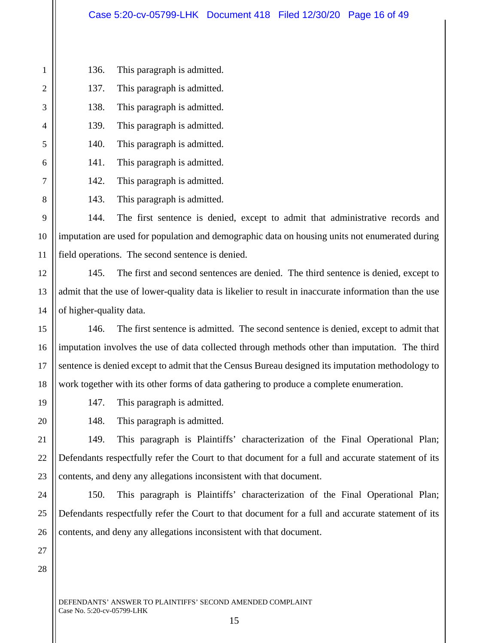136. This paragraph is admitted. 137. This paragraph is admitted. 138. This paragraph is admitted. 139. This paragraph is admitted. 140. This paragraph is admitted. 141. This paragraph is admitted. 142. This paragraph is admitted.

143. This paragraph is admitted.

144. The first sentence is denied, except to admit that administrative records and imputation are used for population and demographic data on housing units not enumerated during field operations. The second sentence is denied.

145. The first and second sentences are denied. The third sentence is denied, except to admit that the use of lower-quality data is likelier to result in inaccurate information than the use of higher-quality data.

146. The first sentence is admitted. The second sentence is denied, except to admit that imputation involves the use of data collected through methods other than imputation. The third sentence is denied except to admit that the Census Bureau designed its imputation methodology to work together with its other forms of data gathering to produce a complete enumeration.

147. This paragraph is admitted.

148. This paragraph is admitted.

149. This paragraph is Plaintiffs' characterization of the Final Operational Plan; Defendants respectfully refer the Court to that document for a full and accurate statement of its contents, and deny any allegations inconsistent with that document.

24 25 26 150. This paragraph is Plaintiffs' characterization of the Final Operational Plan; Defendants respectfully refer the Court to that document for a full and accurate statement of its contents, and deny any allegations inconsistent with that document.

28

27

1

2

3

4

5

6

7

8

9

10

11

12

13

14

15

16

17

18

19

20

21

22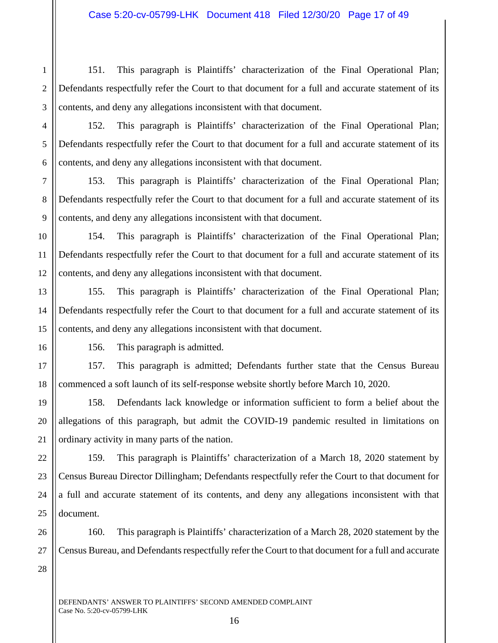1 2 3 151. This paragraph is Plaintiffs' characterization of the Final Operational Plan; Defendants respectfully refer the Court to that document for a full and accurate statement of its contents, and deny any allegations inconsistent with that document.

152. This paragraph is Plaintiffs' characterization of the Final Operational Plan; Defendants respectfully refer the Court to that document for a full and accurate statement of its contents, and deny any allegations inconsistent with that document.

153. This paragraph is Plaintiffs' characterization of the Final Operational Plan; Defendants respectfully refer the Court to that document for a full and accurate statement of its contents, and deny any allegations inconsistent with that document.

12 154. This paragraph is Plaintiffs' characterization of the Final Operational Plan; Defendants respectfully refer the Court to that document for a full and accurate statement of its contents, and deny any allegations inconsistent with that document.

155. This paragraph is Plaintiffs' characterization of the Final Operational Plan; Defendants respectfully refer the Court to that document for a full and accurate statement of its contents, and deny any allegations inconsistent with that document.

4

5

6

7

8

9

10

11

13

14

15

16

17

18

19

21

22

23

24

25

156. This paragraph is admitted.

157. This paragraph is admitted; Defendants further state that the Census Bureau commenced a soft launch of its self-response website shortly before March 10, 2020.

20 158. Defendants lack knowledge or information sufficient to form a belief about the allegations of this paragraph, but admit the COVID-19 pandemic resulted in limitations on ordinary activity in many parts of the nation.

159. This paragraph is Plaintiffs' characterization of a March 18, 2020 statement by Census Bureau Director Dillingham; Defendants respectfully refer the Court to that document for a full and accurate statement of its contents, and deny any allegations inconsistent with that document.

26 27 160. This paragraph is Plaintiffs' characterization of a March 28, 2020 statement by the Census Bureau, and Defendants respectfully refer the Court to that document for a full and accurate

28

DEFENDANTS' ANSWER TO PLAINTIFFS' SECOND AMENDED COMPLAINT Case No. 5:20-cv-05799-LHK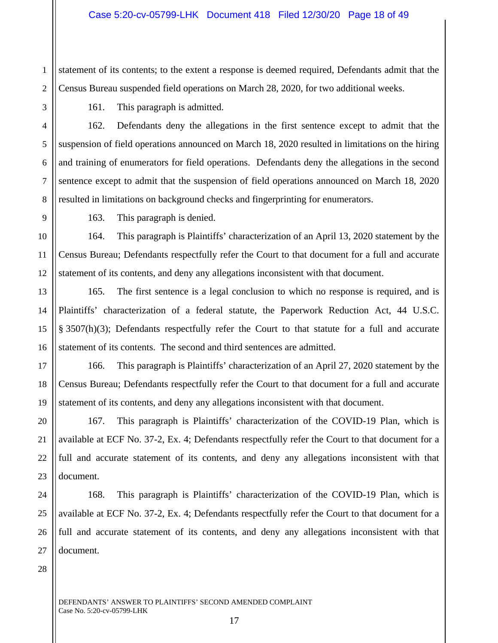1 2 statement of its contents; to the extent a response is deemed required, Defendants admit that the Census Bureau suspended field operations on March 28, 2020, for two additional weeks.

3 4

5

6

7

8

9

11

13

14

15

16

17

18

19

20

21

22

23

24

25

26

27

161. This paragraph is admitted.

162. Defendants deny the allegations in the first sentence except to admit that the suspension of field operations announced on March 18, 2020 resulted in limitations on the hiring and training of enumerators for field operations. Defendants deny the allegations in the second sentence except to admit that the suspension of field operations announced on March 18, 2020 resulted in limitations on background checks and fingerprinting for enumerators.

163. This paragraph is denied.

10 12 164. This paragraph is Plaintiffs' characterization of an April 13, 2020 statement by the Census Bureau; Defendants respectfully refer the Court to that document for a full and accurate statement of its contents, and deny any allegations inconsistent with that document.

165. The first sentence is a legal conclusion to which no response is required, and is Plaintiffs' characterization of a federal statute, the Paperwork Reduction Act, 44 U.S.C. § 3507(h)(3); Defendants respectfully refer the Court to that statute for a full and accurate statement of its contents. The second and third sentences are admitted.

166. This paragraph is Plaintiffs' characterization of an April 27, 2020 statement by the Census Bureau; Defendants respectfully refer the Court to that document for a full and accurate statement of its contents, and deny any allegations inconsistent with that document.

167. This paragraph is Plaintiffs' characterization of the COVID-19 Plan, which is available at ECF No. 37-2, Ex. 4; Defendants respectfully refer the Court to that document for a full and accurate statement of its contents, and deny any allegations inconsistent with that document.

168. This paragraph is Plaintiffs' characterization of the COVID-19 Plan, which is available at ECF No. 37-2, Ex. 4; Defendants respectfully refer the Court to that document for a full and accurate statement of its contents, and deny any allegations inconsistent with that document.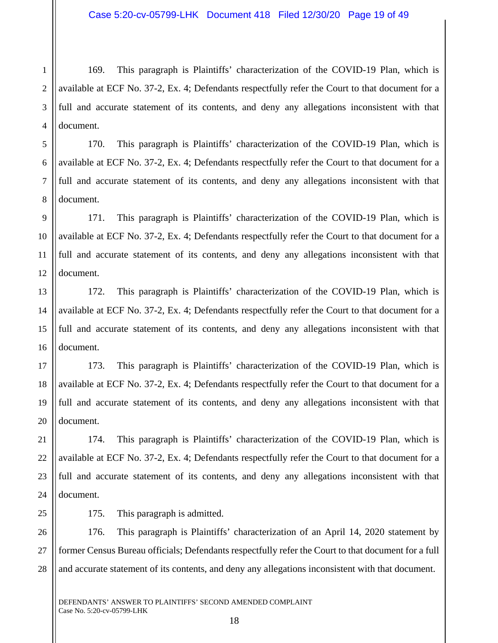2 3 4 169. This paragraph is Plaintiffs' characterization of the COVID-19 Plan, which is available at ECF No. 37-2, Ex. 4; Defendants respectfully refer the Court to that document for a full and accurate statement of its contents, and deny any allegations inconsistent with that document.

170. This paragraph is Plaintiffs' characterization of the COVID-19 Plan, which is available at ECF No. 37-2, Ex. 4; Defendants respectfully refer the Court to that document for a full and accurate statement of its contents, and deny any allegations inconsistent with that document.

171. This paragraph is Plaintiffs' characterization of the COVID-19 Plan, which is available at ECF No. 37-2, Ex. 4; Defendants respectfully refer the Court to that document for a full and accurate statement of its contents, and deny any allegations inconsistent with that document.

172. This paragraph is Plaintiffs' characterization of the COVID-19 Plan, which is available at ECF No. 37-2, Ex. 4; Defendants respectfully refer the Court to that document for a full and accurate statement of its contents, and deny any allegations inconsistent with that document.

173. This paragraph is Plaintiffs' characterization of the COVID-19 Plan, which is available at ECF No. 37-2, Ex. 4; Defendants respectfully refer the Court to that document for a full and accurate statement of its contents, and deny any allegations inconsistent with that document.

21 22 23 24 174. This paragraph is Plaintiffs' characterization of the COVID-19 Plan, which is available at ECF No. 37-2, Ex. 4; Defendants respectfully refer the Court to that document for a full and accurate statement of its contents, and deny any allegations inconsistent with that document.

25

1

5

6

7

8

9

10

11

12

13

14

15

16

17

18

19

20

175. This paragraph is admitted.

26 27 28 176. This paragraph is Plaintiffs' characterization of an April 14, 2020 statement by former Census Bureau officials; Defendants respectfully refer the Court to that document for a full and accurate statement of its contents, and deny any allegations inconsistent with that document.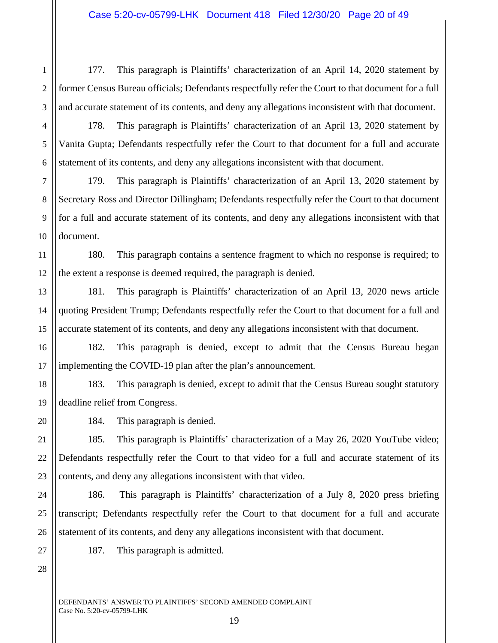2 3 177. This paragraph is Plaintiffs' characterization of an April 14, 2020 statement by former Census Bureau officials; Defendants respectfully refer the Court to that document for a full and accurate statement of its contents, and deny any allegations inconsistent with that document.

178. This paragraph is Plaintiffs' characterization of an April 13, 2020 statement by Vanita Gupta; Defendants respectfully refer the Court to that document for a full and accurate statement of its contents, and deny any allegations inconsistent with that document.

179. This paragraph is Plaintiffs' characterization of an April 13, 2020 statement by Secretary Ross and Director Dillingham; Defendants respectfully refer the Court to that document for a full and accurate statement of its contents, and deny any allegations inconsistent with that document.

11 12 180. This paragraph contains a sentence fragment to which no response is required; to the extent a response is deemed required, the paragraph is denied.

181. This paragraph is Plaintiffs' characterization of an April 13, 2020 news article quoting President Trump; Defendants respectfully refer the Court to that document for a full and accurate statement of its contents, and deny any allegations inconsistent with that document.

182. This paragraph is denied, except to admit that the Census Bureau began implementing the COVID-19 plan after the plan's announcement.

18 19 183. This paragraph is denied, except to admit that the Census Bureau sought statutory deadline relief from Congress.

184. This paragraph is denied.

185. This paragraph is Plaintiffs' characterization of a May 26, 2020 YouTube video; Defendants respectfully refer the Court to that video for a full and accurate statement of its contents, and deny any allegations inconsistent with that video.

186. This paragraph is Plaintiffs' characterization of a July 8, 2020 press briefing transcript; Defendants respectfully refer the Court to that document for a full and accurate statement of its contents, and deny any allegations inconsistent with that document.

187. This paragraph is admitted.

28

1

4

5

6

7

8

9

10

13

14

15

16

17

20

21

22

23

24

25

26

27

DEFENDANTS' ANSWER TO PLAINTIFFS' SECOND AMENDED COMPLAINT Case No. 5:20-cv-05799-LHK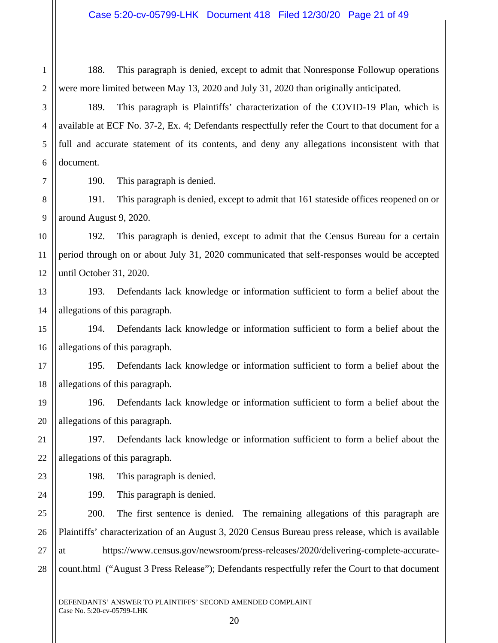188. This paragraph is denied, except to admit that Nonresponse Followup operations were more limited between May 13, 2020 and July 31, 2020 than originally anticipated.

189. This paragraph is Plaintiffs' characterization of the COVID-19 Plan, which is available at ECF No. 37-2, Ex. 4; Defendants respectfully refer the Court to that document for a full and accurate statement of its contents, and deny any allegations inconsistent with that document.

190. This paragraph is denied.

8 9 191. This paragraph is denied, except to admit that 161 stateside offices reopened on or around August 9, 2020.

10 11 12 192. This paragraph is denied, except to admit that the Census Bureau for a certain period through on or about July 31, 2020 communicated that self-responses would be accepted until October 31, 2020.

13 14 193. Defendants lack knowledge or information sufficient to form a belief about the allegations of this paragraph.

15 16 194. Defendants lack knowledge or information sufficient to form a belief about the allegations of this paragraph.

17 18 195. Defendants lack knowledge or information sufficient to form a belief about the allegations of this paragraph.

19 20 196. Defendants lack knowledge or information sufficient to form a belief about the allegations of this paragraph.

21 22 197. Defendants lack knowledge or information sufficient to form a belief about the allegations of this paragraph.

198. This paragraph is denied.

199. This paragraph is denied.

25 26 27 28 200. The first sentence is denied. The remaining allegations of this paragraph are Plaintiffs' characterization of an August 3, 2020 Census Bureau press release, which is available at https://www.census.gov/newsroom/press-releases/2020/delivering-complete-accuratecount.html ("August 3 Press Release"); Defendants respectfully refer the Court to that document

6

7

23

24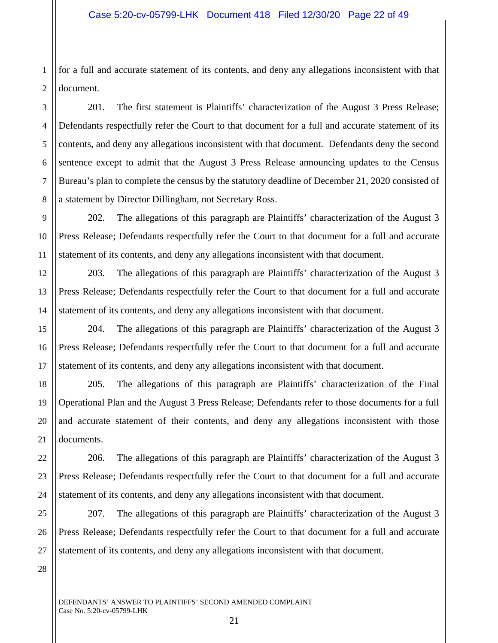1 2 for a full and accurate statement of its contents, and deny any allegations inconsistent with that document.

6 8 201. The first statement is Plaintiffs' characterization of the August 3 Press Release; Defendants respectfully refer the Court to that document for a full and accurate statement of its contents, and deny any allegations inconsistent with that document. Defendants deny the second sentence except to admit that the August 3 Press Release announcing updates to the Census Bureau's plan to complete the census by the statutory deadline of December 21, 2020 consisted of a statement by Director Dillingham, not Secretary Ross.

202. The allegations of this paragraph are Plaintiffs' characterization of the August 3 Press Release; Defendants respectfully refer the Court to that document for a full and accurate statement of its contents, and deny any allegations inconsistent with that document.

203. The allegations of this paragraph are Plaintiffs' characterization of the August 3 Press Release; Defendants respectfully refer the Court to that document for a full and accurate statement of its contents, and deny any allegations inconsistent with that document.

204. The allegations of this paragraph are Plaintiffs' characterization of the August 3 Press Release; Defendants respectfully refer the Court to that document for a full and accurate statement of its contents, and deny any allegations inconsistent with that document.

205. The allegations of this paragraph are Plaintiffs' characterization of the Final Operational Plan and the August 3 Press Release; Defendants refer to those documents for a full and accurate statement of their contents, and deny any allegations inconsistent with those documents.

206. The allegations of this paragraph are Plaintiffs' characterization of the August 3 Press Release; Defendants respectfully refer the Court to that document for a full and accurate statement of its contents, and deny any allegations inconsistent with that document.

207. The allegations of this paragraph are Plaintiffs' characterization of the August 3 Press Release; Defendants respectfully refer the Court to that document for a full and accurate statement of its contents, and deny any allegations inconsistent with that document.

28

3

4

5

7

9

10

11

12

13

14

15

16

17

18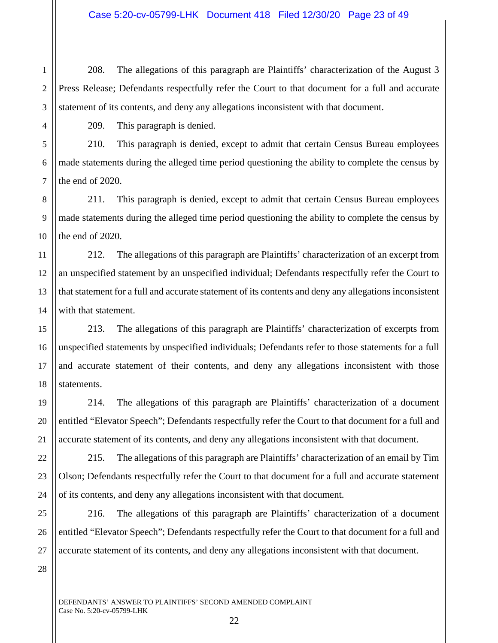208. The allegations of this paragraph are Plaintiffs' characterization of the August 3 Press Release; Defendants respectfully refer the Court to that document for a full and accurate statement of its contents, and deny any allegations inconsistent with that document.

1

2

3

4

5

6

7

8

9

10

11

12

13

14

15

16

17

18

19

20

21

25

26

27

28

209. This paragraph is denied.

210. This paragraph is denied, except to admit that certain Census Bureau employees made statements during the alleged time period questioning the ability to complete the census by the end of 2020.

211. This paragraph is denied, except to admit that certain Census Bureau employees made statements during the alleged time period questioning the ability to complete the census by the end of 2020.

212. The allegations of this paragraph are Plaintiffs' characterization of an excerpt from an unspecified statement by an unspecified individual; Defendants respectfully refer the Court to that statement for a full and accurate statement of its contents and deny any allegations inconsistent with that statement.

213. The allegations of this paragraph are Plaintiffs' characterization of excerpts from unspecified statements by unspecified individuals; Defendants refer to those statements for a full and accurate statement of their contents, and deny any allegations inconsistent with those statements.

214. The allegations of this paragraph are Plaintiffs' characterization of a document entitled "Elevator Speech"; Defendants respectfully refer the Court to that document for a full and accurate statement of its contents, and deny any allegations inconsistent with that document.

22 23 24 215. The allegations of this paragraph are Plaintiffs' characterization of an email by Tim Olson; Defendants respectfully refer the Court to that document for a full and accurate statement of its contents, and deny any allegations inconsistent with that document.

216. The allegations of this paragraph are Plaintiffs' characterization of a document entitled "Elevator Speech"; Defendants respectfully refer the Court to that document for a full and accurate statement of its contents, and deny any allegations inconsistent with that document.

DEFENDANTS' ANSWER TO PLAINTIFFS' SECOND AMENDED COMPLAINT Case No. 5:20-cv-05799-LHK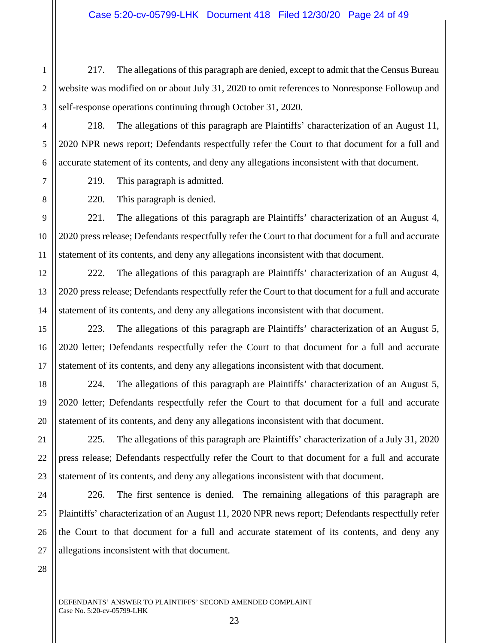217. The allegations of this paragraph are denied, except to admit that the Census Bureau website was modified on or about July 31, 2020 to omit references to Nonresponse Followup and self-response operations continuing through October 31, 2020.

218. The allegations of this paragraph are Plaintiffs' characterization of an August 11, 2020 NPR news report; Defendants respectfully refer the Court to that document for a full and accurate statement of its contents, and deny any allegations inconsistent with that document.

219. This paragraph is admitted.

220. This paragraph is denied.

221. The allegations of this paragraph are Plaintiffs' characterization of an August 4, 2020 press release; Defendants respectfully refer the Court to that document for a full and accurate statement of its contents, and deny any allegations inconsistent with that document.

222. The allegations of this paragraph are Plaintiffs' characterization of an August 4, 2020 press release; Defendants respectfully refer the Court to that document for a full and accurate statement of its contents, and deny any allegations inconsistent with that document.

223. The allegations of this paragraph are Plaintiffs' characterization of an August 5, 2020 letter; Defendants respectfully refer the Court to that document for a full and accurate statement of its contents, and deny any allegations inconsistent with that document.

224. The allegations of this paragraph are Plaintiffs' characterization of an August 5, 2020 letter; Defendants respectfully refer the Court to that document for a full and accurate statement of its contents, and deny any allegations inconsistent with that document.

225. The allegations of this paragraph are Plaintiffs' characterization of a July 31, 2020 press release; Defendants respectfully refer the Court to that document for a full and accurate statement of its contents, and deny any allegations inconsistent with that document.

226. The first sentence is denied. The remaining allegations of this paragraph are Plaintiffs' characterization of an August 11, 2020 NPR news report; Defendants respectfully refer the Court to that document for a full and accurate statement of its contents, and deny any allegations inconsistent with that document.

28

1

2

3

4

5

6

7

8

9

10

11

12

13

14

15

16

17

18

19

20

21

22

23

24

25

26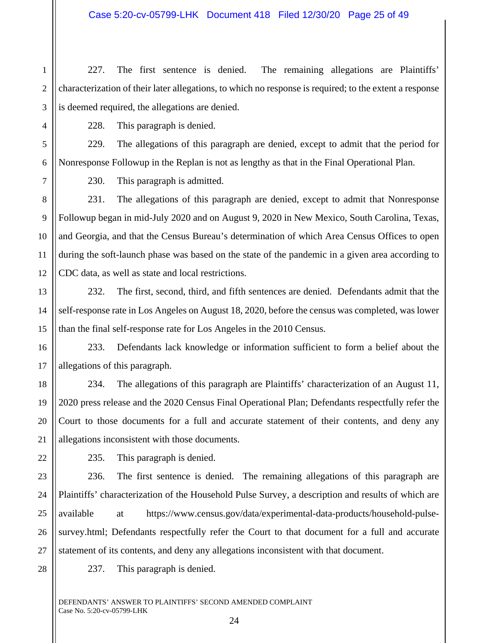1 2 3 227. The first sentence is denied. The remaining allegations are Plaintiffs' characterization of their later allegations, to which no response is required; to the extent a response is deemed required, the allegations are denied.

228. This paragraph is denied.

6 229. The allegations of this paragraph are denied, except to admit that the period for Nonresponse Followup in the Replan is not as lengthy as that in the Final Operational Plan.

230. This paragraph is admitted.

231. The allegations of this paragraph are denied, except to admit that Nonresponse Followup began in mid-July 2020 and on August 9, 2020 in New Mexico, South Carolina, Texas, and Georgia, and that the Census Bureau's determination of which Area Census Offices to open during the soft-launch phase was based on the state of the pandemic in a given area according to CDC data, as well as state and local restrictions.

232. The first, second, third, and fifth sentences are denied. Defendants admit that the self-response rate in Los Angeles on August 18, 2020, before the census was completed, was lower than the final self-response rate for Los Angeles in the 2010 Census.

233. Defendants lack knowledge or information sufficient to form a belief about the allegations of this paragraph.

234. The allegations of this paragraph are Plaintiffs' characterization of an August 11, 2020 press release and the 2020 Census Final Operational Plan; Defendants respectfully refer the Court to those documents for a full and accurate statement of their contents, and deny any allegations inconsistent with those documents.

235. This paragraph is denied.

236. The first sentence is denied. The remaining allegations of this paragraph are Plaintiffs' characterization of the Household Pulse Survey, a description and results of which are available at https://www.census.gov/data/experimental-data-products/household-pulsesurvey.html; Defendants respectfully refer the Court to that document for a full and accurate statement of its contents, and deny any allegations inconsistent with that document.

28

4

5

7

8

9

10

11

12

13

14

15

16

17

18

19

20

21

22

23

24

25

26

27

237. This paragraph is denied.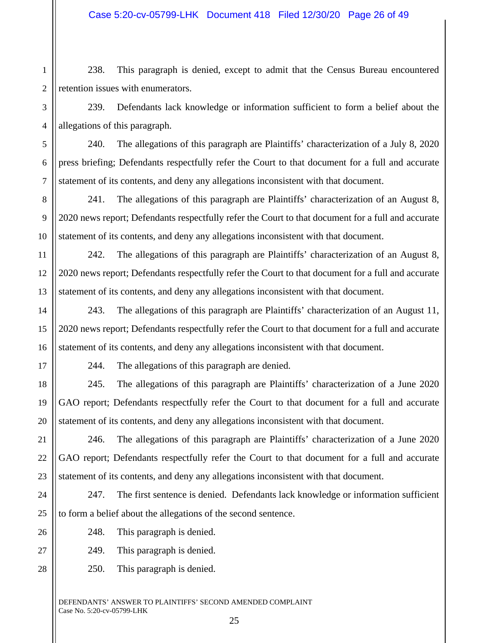1 2 238. This paragraph is denied, except to admit that the Census Bureau encountered retention issues with enumerators.

239. Defendants lack knowledge or information sufficient to form a belief about the allegations of this paragraph.

240. The allegations of this paragraph are Plaintiffs' characterization of a July 8, 2020 press briefing; Defendants respectfully refer the Court to that document for a full and accurate statement of its contents, and deny any allegations inconsistent with that document.

241. The allegations of this paragraph are Plaintiffs' characterization of an August 8, 2020 news report; Defendants respectfully refer the Court to that document for a full and accurate statement of its contents, and deny any allegations inconsistent with that document.

242. The allegations of this paragraph are Plaintiffs' characterization of an August 8, 2020 news report; Defendants respectfully refer the Court to that document for a full and accurate statement of its contents, and deny any allegations inconsistent with that document.

243. The allegations of this paragraph are Plaintiffs' characterization of an August 11, 2020 news report; Defendants respectfully refer the Court to that document for a full and accurate statement of its contents, and deny any allegations inconsistent with that document.

3

4

5

6

7

8

9

10

11

12

13

14

15

16

17

18

19

20

21

22

23

24

26

27

28

244. The allegations of this paragraph are denied.

245. The allegations of this paragraph are Plaintiffs' characterization of a June 2020 GAO report; Defendants respectfully refer the Court to that document for a full and accurate statement of its contents, and deny any allegations inconsistent with that document.

246. The allegations of this paragraph are Plaintiffs' characterization of a June 2020 GAO report; Defendants respectfully refer the Court to that document for a full and accurate statement of its contents, and deny any allegations inconsistent with that document.

25 247. The first sentence is denied. Defendants lack knowledge or information sufficient to form a belief about the allegations of the second sentence.

248. This paragraph is denied.

249. This paragraph is denied.

250. This paragraph is denied.

DEFENDANTS' ANSWER TO PLAINTIFFS' SECOND AMENDED COMPLAINT Case No. 5:20-cv-05799-LHK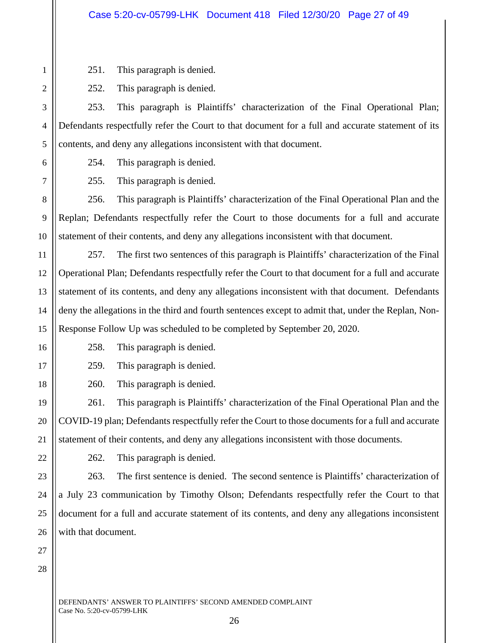251. This paragraph is denied.

252. This paragraph is denied.

253. This paragraph is Plaintiffs' characterization of the Final Operational Plan; Defendants respectfully refer the Court to that document for a full and accurate statement of its contents, and deny any allegations inconsistent with that document.

254. This paragraph is denied.

255. This paragraph is denied.

256. This paragraph is Plaintiffs' characterization of the Final Operational Plan and the Replan; Defendants respectfully refer the Court to those documents for a full and accurate statement of their contents, and deny any allegations inconsistent with that document.

257. The first two sentences of this paragraph is Plaintiffs' characterization of the Final Operational Plan; Defendants respectfully refer the Court to that document for a full and accurate statement of its contents, and deny any allegations inconsistent with that document. Defendants deny the allegations in the third and fourth sentences except to admit that, under the Replan, Non-Response Follow Up was scheduled to be completed by September 20, 2020.

258. This paragraph is denied.

259. This paragraph is denied.

260. This paragraph is denied.

261. This paragraph is Plaintiffs' characterization of the Final Operational Plan and the COVID-19 plan; Defendants respectfully refer the Court to those documents for a full and accurate statement of their contents, and deny any allegations inconsistent with those documents.

262. This paragraph is denied.

263. The first sentence is denied. The second sentence is Plaintiffs' characterization of a July 23 communication by Timothy Olson; Defendants respectfully refer the Court to that document for a full and accurate statement of its contents, and deny any allegations inconsistent with that document.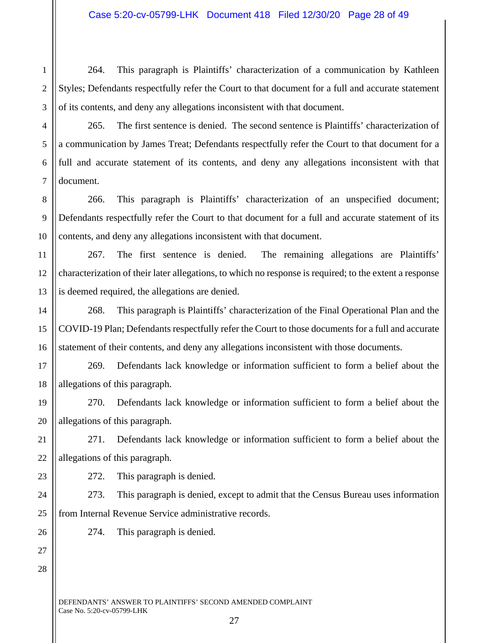1 2 264. This paragraph is Plaintiffs' characterization of a communication by Kathleen Styles; Defendants respectfully refer the Court to that document for a full and accurate statement of its contents, and deny any allegations inconsistent with that document.

265. The first sentence is denied. The second sentence is Plaintiffs' characterization of a communication by James Treat; Defendants respectfully refer the Court to that document for a full and accurate statement of its contents, and deny any allegations inconsistent with that document.

8 9 10 266. This paragraph is Plaintiffs' characterization of an unspecified document; Defendants respectfully refer the Court to that document for a full and accurate statement of its contents, and deny any allegations inconsistent with that document.

11 12 13 267. The first sentence is denied. The remaining allegations are Plaintiffs' characterization of their later allegations, to which no response is required; to the extent a response is deemed required, the allegations are denied.

268. This paragraph is Plaintiffs' characterization of the Final Operational Plan and the COVID-19 Plan; Defendants respectfully refer the Court to those documents for a full and accurate statement of their contents, and deny any allegations inconsistent with those documents.

17 18 269. Defendants lack knowledge or information sufficient to form a belief about the allegations of this paragraph.

19 20 270. Defendants lack knowledge or information sufficient to form a belief about the allegations of this paragraph.

21 22 271. Defendants lack knowledge or information sufficient to form a belief about the allegations of this paragraph.

272. This paragraph is denied.

24 25 273. This paragraph is denied, except to admit that the Census Bureau uses information from Internal Revenue Service administrative records.

274. This paragraph is denied.

27

DEFENDANTS' ANSWER TO PLAINTIFFS' SECOND AMENDED COMPLAINT Case No. 5:20-cv-05799-LHK

3 4 5

6

7

14

15

16

23

26

27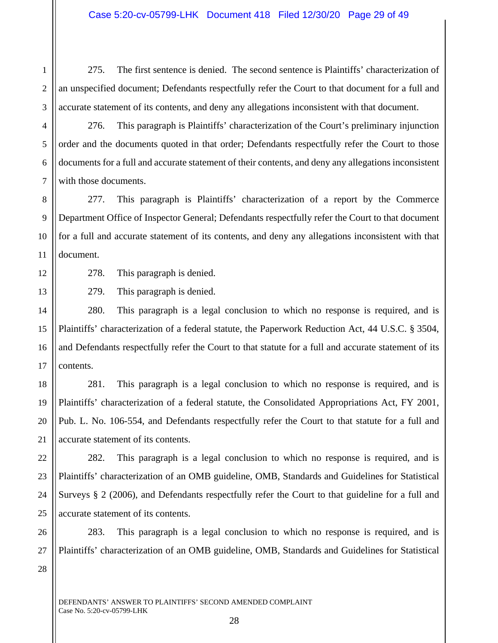275. The first sentence is denied. The second sentence is Plaintiffs' characterization of an unspecified document; Defendants respectfully refer the Court to that document for a full and accurate statement of its contents, and deny any allegations inconsistent with that document.

276. This paragraph is Plaintiffs' characterization of the Court's preliminary injunction order and the documents quoted in that order; Defendants respectfully refer the Court to those documents for a full and accurate statement of their contents, and deny any allegations inconsistent with those documents.

10 277. This paragraph is Plaintiffs' characterization of a report by the Commerce Department Office of Inspector General; Defendants respectfully refer the Court to that document for a full and accurate statement of its contents, and deny any allegations inconsistent with that document.

278. This paragraph is denied.

1

2

3

4

5

6

7

8

9

11

12

13

14

15

16

17

18

19

20

21

22

23

24

25

27

28

279. This paragraph is denied.

280. This paragraph is a legal conclusion to which no response is required, and is Plaintiffs' characterization of a federal statute, the Paperwork Reduction Act, 44 U.S.C. § 3504, and Defendants respectfully refer the Court to that statute for a full and accurate statement of its contents.

281. This paragraph is a legal conclusion to which no response is required, and is Plaintiffs' characterization of a federal statute, the Consolidated Appropriations Act, FY 2001, Pub. L. No. 106-554, and Defendants respectfully refer the Court to that statute for a full and accurate statement of its contents.

282. This paragraph is a legal conclusion to which no response is required, and is Plaintiffs' characterization of an OMB guideline, OMB, Standards and Guidelines for Statistical Surveys § 2 (2006), and Defendants respectfully refer the Court to that guideline for a full and accurate statement of its contents.

26 283. This paragraph is a legal conclusion to which no response is required, and is Plaintiffs' characterization of an OMB guideline, OMB, Standards and Guidelines for Statistical

DEFENDANTS' ANSWER TO PLAINTIFFS' SECOND AMENDED COMPLAINT Case No. 5:20-cv-05799-LHK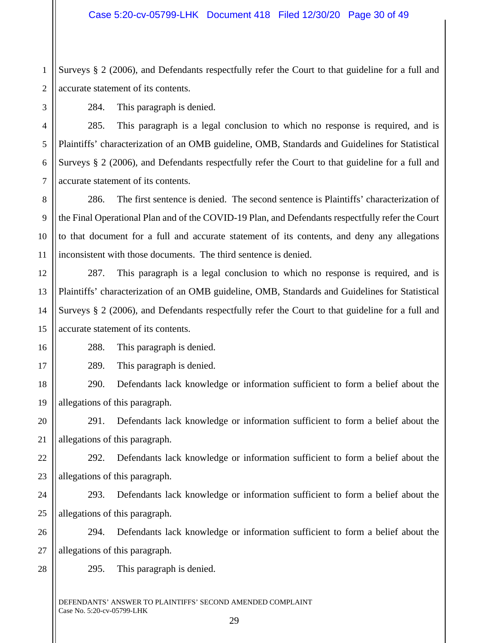1 2 Surveys § 2 (2006), and Defendants respectfully refer the Court to that guideline for a full and accurate statement of its contents.

16

17

3

284. This paragraph is denied.

285. This paragraph is a legal conclusion to which no response is required, and is Plaintiffs' characterization of an OMB guideline, OMB, Standards and Guidelines for Statistical Surveys § 2 (2006), and Defendants respectfully refer the Court to that guideline for a full and accurate statement of its contents.

286. The first sentence is denied. The second sentence is Plaintiffs' characterization of the Final Operational Plan and of the COVID-19 Plan, and Defendants respectfully refer the Court to that document for a full and accurate statement of its contents, and deny any allegations inconsistent with those documents. The third sentence is denied.

15 287. This paragraph is a legal conclusion to which no response is required, and is Plaintiffs' characterization of an OMB guideline, OMB, Standards and Guidelines for Statistical Surveys § 2 (2006), and Defendants respectfully refer the Court to that guideline for a full and accurate statement of its contents.

288. This paragraph is denied.

289. This paragraph is denied.

18 19 290. Defendants lack knowledge or information sufficient to form a belief about the allegations of this paragraph.

20 21 291. Defendants lack knowledge or information sufficient to form a belief about the allegations of this paragraph.

22 23 292. Defendants lack knowledge or information sufficient to form a belief about the allegations of this paragraph.

24 25 293. Defendants lack knowledge or information sufficient to form a belief about the allegations of this paragraph.

26 27 294. Defendants lack knowledge or information sufficient to form a belief about the allegations of this paragraph.

28

295. This paragraph is denied.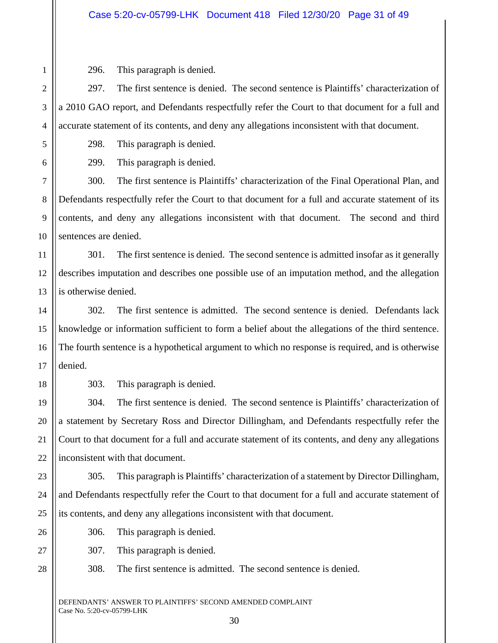296. This paragraph is denied.

1

2

3

4

5

6

7

8

9

10

15

16

17

18

19

20

21

22

23

24

25

26

27

28

297. The first sentence is denied. The second sentence is Plaintiffs' characterization of a 2010 GAO report, and Defendants respectfully refer the Court to that document for a full and accurate statement of its contents, and deny any allegations inconsistent with that document.

298. This paragraph is denied.

299. This paragraph is denied.

300. The first sentence is Plaintiffs' characterization of the Final Operational Plan, and Defendants respectfully refer the Court to that document for a full and accurate statement of its contents, and deny any allegations inconsistent with that document. The second and third sentences are denied.

11 12 13 301. The first sentence is denied. The second sentence is admitted insofar as it generally describes imputation and describes one possible use of an imputation method, and the allegation is otherwise denied.

14 302. The first sentence is admitted. The second sentence is denied. Defendants lack knowledge or information sufficient to form a belief about the allegations of the third sentence. The fourth sentence is a hypothetical argument to which no response is required, and is otherwise denied.

303. This paragraph is denied.

304. The first sentence is denied. The second sentence is Plaintiffs' characterization of a statement by Secretary Ross and Director Dillingham, and Defendants respectfully refer the Court to that document for a full and accurate statement of its contents, and deny any allegations inconsistent with that document.

305. This paragraph is Plaintiffs' characterization of a statement by Director Dillingham, and Defendants respectfully refer the Court to that document for a full and accurate statement of its contents, and deny any allegations inconsistent with that document.

306. This paragraph is denied.

307. This paragraph is denied.

308. The first sentence is admitted. The second sentence is denied.

DEFENDANTS' ANSWER TO PLAINTIFFS' SECOND AMENDED COMPLAINT Case No. 5:20-cv-05799-LHK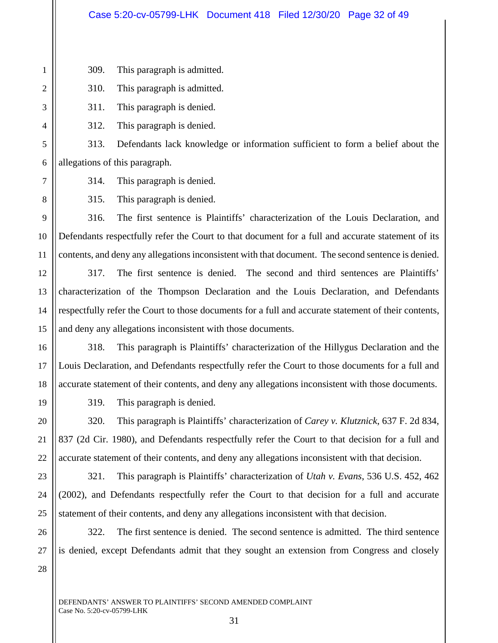309. This paragraph is admitted.

310. This paragraph is admitted.

311. This paragraph is denied.

312. This paragraph is denied.

313. Defendants lack knowledge or information sufficient to form a belief about the allegations of this paragraph.

314. This paragraph is denied.

315. This paragraph is denied.

316. The first sentence is Plaintiffs' characterization of the Louis Declaration, and Defendants respectfully refer the Court to that document for a full and accurate statement of its contents, and deny any allegations inconsistent with that document. The second sentence is denied.

317. The first sentence is denied. The second and third sentences are Plaintiffs' characterization of the Thompson Declaration and the Louis Declaration, and Defendants respectfully refer the Court to those documents for a full and accurate statement of their contents, and deny any allegations inconsistent with those documents.

318. This paragraph is Plaintiffs' characterization of the Hillygus Declaration and the Louis Declaration, and Defendants respectfully refer the Court to those documents for a full and accurate statement of their contents, and deny any allegations inconsistent with those documents.

319. This paragraph is denied.

320. This paragraph is Plaintiffs' characterization of *Carey v. Klutznick*, 637 F. 2d 834, 837 (2d Cir. 1980), and Defendants respectfully refer the Court to that decision for a full and accurate statement of their contents, and deny any allegations inconsistent with that decision.

321. This paragraph is Plaintiffs' characterization of *Utah v. Evans*, 536 U.S. 452, 462 (2002), and Defendants respectfully refer the Court to that decision for a full and accurate statement of their contents, and deny any allegations inconsistent with that decision.

322. The first sentence is denied. The second sentence is admitted. The third sentence is denied, except Defendants admit that they sought an extension from Congress and closely

28

DEFENDANTS' ANSWER TO PLAINTIFFS' SECOND AMENDED COMPLAINT Case No. 5:20-cv-05799-LHK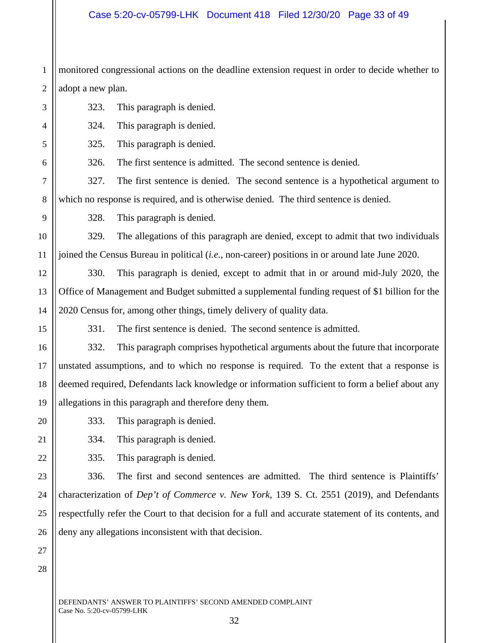## Case 5:20-cv-05799-LHK Document 418 Filed 12/30/20 Page 33 of 49

1 2 monitored congressional actions on the deadline extension request in order to decide whether to adopt a new plan.

3 4 5 6 7 8 9 10 11 12 13 14 15 16 17 18 19 20 21 22 23 24 25 26 27 323. This paragraph is denied. 324. This paragraph is denied. 325. This paragraph is denied. 326. The first sentence is admitted. The second sentence is denied. 327. The first sentence is denied. The second sentence is a hypothetical argument to which no response is required, and is otherwise denied. The third sentence is denied. 328. This paragraph is denied. 329. The allegations of this paragraph are denied, except to admit that two individuals joined the Census Bureau in political (*i.e.*, non-career) positions in or around late June 2020. 330. This paragraph is denied, except to admit that in or around mid-July 2020, the Office of Management and Budget submitted a supplemental funding request of \$1 billion for the 2020 Census for, among other things, timely delivery of quality data. 331. The first sentence is denied. The second sentence is admitted. 332. This paragraph comprises hypothetical arguments about the future that incorporate unstated assumptions, and to which no response is required. To the extent that a response is deemed required, Defendants lack knowledge or information sufficient to form a belief about any allegations in this paragraph and therefore deny them. 333. This paragraph is denied. 334. This paragraph is denied. 335. This paragraph is denied. 336. The first and second sentences are admitted. The third sentence is Plaintiffs' characterization of *Dep't of Commerce v. New York*, 139 S. Ct. 2551 (2019), and Defendants respectfully refer the Court to that decision for a full and accurate statement of its contents, and deny any allegations inconsistent with that decision.

DEFENDANTS' ANSWER TO PLAINTIFFS' SECOND AMENDED COMPLAINT Case No. 5:20-cv-05799-LHK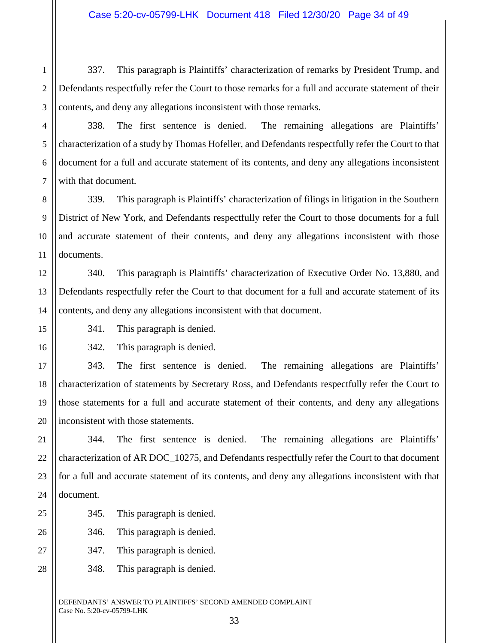1 2 3 337. This paragraph is Plaintiffs' characterization of remarks by President Trump, and Defendants respectfully refer the Court to those remarks for a full and accurate statement of their contents, and deny any allegations inconsistent with those remarks.

338. The first sentence is denied. The remaining allegations are Plaintiffs' characterization of a study by Thomas Hofeller, and Defendants respectfully refer the Court to that document for a full and accurate statement of its contents, and deny any allegations inconsistent with that document.

8 9 10 11 339. This paragraph is Plaintiffs' characterization of filings in litigation in the Southern District of New York, and Defendants respectfully refer the Court to those documents for a full and accurate statement of their contents, and deny any allegations inconsistent with those documents.

12 13 14 340. This paragraph is Plaintiffs' characterization of Executive Order No. 13,880, and Defendants respectfully refer the Court to that document for a full and accurate statement of its contents, and deny any allegations inconsistent with that document.

341. This paragraph is denied.

4

5

6

7

15

16

17

18

19

25

26

27

28

342. This paragraph is denied.

20 343. The first sentence is denied. The remaining allegations are Plaintiffs' characterization of statements by Secretary Ross, and Defendants respectfully refer the Court to those statements for a full and accurate statement of their contents, and deny any allegations inconsistent with those statements.

21 22 23 24 344. The first sentence is denied. The remaining allegations are Plaintiffs' characterization of AR DOC\_10275, and Defendants respectfully refer the Court to that document for a full and accurate statement of its contents, and deny any allegations inconsistent with that document.

345. This paragraph is denied.

346. This paragraph is denied.

347. This paragraph is denied.

348. This paragraph is denied.

DEFENDANTS' ANSWER TO PLAINTIFFS' SECOND AMENDED COMPLAINT Case No. 5:20-cv-05799-LHK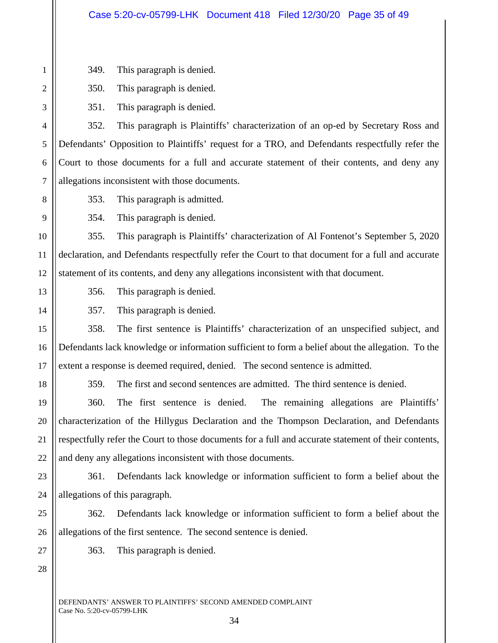| $\mathbf{1}$   | 349.                                                                                       | This paragraph is denied.                                                                            |  |
|----------------|--------------------------------------------------------------------------------------------|------------------------------------------------------------------------------------------------------|--|
| $\mathfrak{2}$ | 350.                                                                                       | This paragraph is denied.                                                                            |  |
| $\mathfrak{Z}$ | 351.                                                                                       | This paragraph is denied.                                                                            |  |
| $\overline{4}$ | 352.                                                                                       | This paragraph is Plaintiffs' characterization of an op-ed by Secretary Ross and                     |  |
| $\mathfrak s$  |                                                                                            | Defendants' Opposition to Plaintiffs' request for a TRO, and Defendants respectfully refer the       |  |
| 6              | Court to those documents for a full and accurate statement of their contents, and deny any |                                                                                                      |  |
| $\tau$         | allegations inconsistent with those documents.                                             |                                                                                                      |  |
| $8\,$          | 353.                                                                                       | This paragraph is admitted.                                                                          |  |
| 9              | 354.                                                                                       | This paragraph is denied.                                                                            |  |
| 10             | 355.                                                                                       | This paragraph is Plaintiffs' characterization of Al Fontenot's September 5, 2020                    |  |
| 11             |                                                                                            | declaration, and Defendants respectfully refer the Court to that document for a full and accurate    |  |
| 12             | statement of its contents, and deny any allegations inconsistent with that document.       |                                                                                                      |  |
| 13             | 356.                                                                                       | This paragraph is denied.                                                                            |  |
| 14             | 357.                                                                                       | This paragraph is denied.                                                                            |  |
| 15             | 358.                                                                                       | The first sentence is Plaintiffs' characterization of an unspecified subject, and                    |  |
| 16             |                                                                                            | Defendants lack knowledge or information sufficient to form a belief about the allegation. To the    |  |
| 17             |                                                                                            | extent a response is deemed required, denied. The second sentence is admitted.                       |  |
| 18             | 359.                                                                                       | The first and second sentences are admitted. The third sentence is denied.                           |  |
| 19             | 360.                                                                                       | The remaining allegations are Plaintiffs'<br>The first sentence is denied.                           |  |
| 20             |                                                                                            | characterization of the Hillygus Declaration and the Thompson Declaration, and Defendants            |  |
| 21             |                                                                                            | respectfully refer the Court to those documents for a full and accurate statement of their contents, |  |
| 22             |                                                                                            | and deny any allegations inconsistent with those documents.                                          |  |
| 23             | 361.                                                                                       | Defendants lack knowledge or information sufficient to form a belief about the                       |  |
| 24             |                                                                                            | allegations of this paragraph.                                                                       |  |
| 25             | 362.                                                                                       | Defendants lack knowledge or information sufficient to form a belief about the                       |  |
| 26             |                                                                                            | allegations of the first sentence. The second sentence is denied.                                    |  |
| 27             | 363.                                                                                       | This paragraph is denied.                                                                            |  |
| 28             |                                                                                            |                                                                                                      |  |
|                |                                                                                            |                                                                                                      |  |

DEFENDANTS' ANSWER TO PLAINTIFFS' SECOND AMENDED COMPLAINT Case No. 5:20-cv-05799-LHK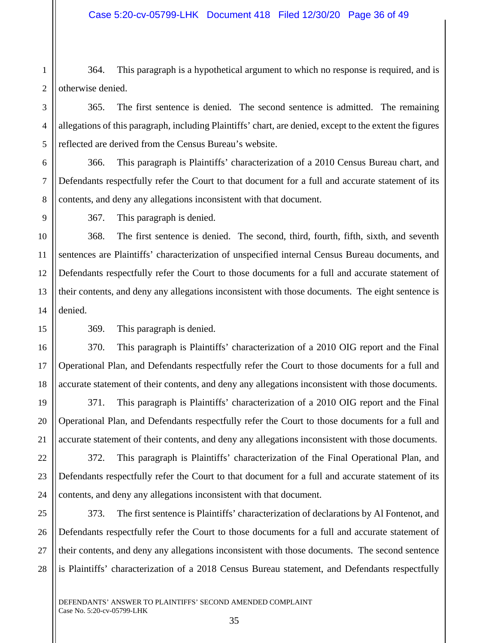1 2 364. This paragraph is a hypothetical argument to which no response is required, and is otherwise denied.

365. The first sentence is denied. The second sentence is admitted. The remaining allegations of this paragraph, including Plaintiffs' chart, are denied, except to the extent the figures reflected are derived from the Census Bureau's website.

6 7 8 366. This paragraph is Plaintiffs' characterization of a 2010 Census Bureau chart, and Defendants respectfully refer the Court to that document for a full and accurate statement of its contents, and deny any allegations inconsistent with that document.

9

15

16

17

18

19

20

21

3

4

5

367. This paragraph is denied.

10 11 12 13 14 368. The first sentence is denied. The second, third, fourth, fifth, sixth, and seventh sentences are Plaintiffs' characterization of unspecified internal Census Bureau documents, and Defendants respectfully refer the Court to those documents for a full and accurate statement of their contents, and deny any allegations inconsistent with those documents. The eight sentence is denied.

369. This paragraph is denied.

370. This paragraph is Plaintiffs' characterization of a 2010 OIG report and the Final Operational Plan, and Defendants respectfully refer the Court to those documents for a full and accurate statement of their contents, and deny any allegations inconsistent with those documents.

371. This paragraph is Plaintiffs' characterization of a 2010 OIG report and the Final Operational Plan, and Defendants respectfully refer the Court to those documents for a full and accurate statement of their contents, and deny any allegations inconsistent with those documents.

22 23 24 372. This paragraph is Plaintiffs' characterization of the Final Operational Plan, and Defendants respectfully refer the Court to that document for a full and accurate statement of its contents, and deny any allegations inconsistent with that document.

25 26 27 28 373. The first sentence is Plaintiffs' characterization of declarations by Al Fontenot, and Defendants respectfully refer the Court to those documents for a full and accurate statement of their contents, and deny any allegations inconsistent with those documents. The second sentence is Plaintiffs' characterization of a 2018 Census Bureau statement, and Defendants respectfully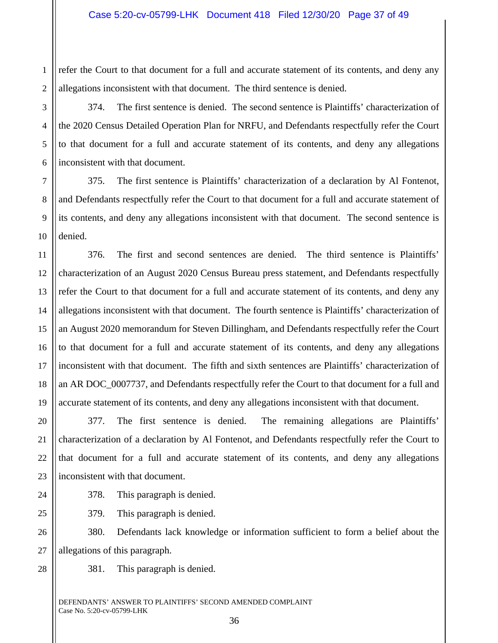1 2 refer the Court to that document for a full and accurate statement of its contents, and deny any allegations inconsistent with that document. The third sentence is denied.

374. The first sentence is denied. The second sentence is Plaintiffs' characterization of the 2020 Census Detailed Operation Plan for NRFU, and Defendants respectfully refer the Court to that document for a full and accurate statement of its contents, and deny any allegations inconsistent with that document.

375. The first sentence is Plaintiffs' characterization of a declaration by Al Fontenot, and Defendants respectfully refer the Court to that document for a full and accurate statement of its contents, and deny any allegations inconsistent with that document. The second sentence is denied.

12 13 14 15 16 18 19 376. The first and second sentences are denied. The third sentence is Plaintiffs' characterization of an August 2020 Census Bureau press statement, and Defendants respectfully refer the Court to that document for a full and accurate statement of its contents, and deny any allegations inconsistent with that document. The fourth sentence is Plaintiffs' characterization of an August 2020 memorandum for Steven Dillingham, and Defendants respectfully refer the Court to that document for a full and accurate statement of its contents, and deny any allegations inconsistent with that document. The fifth and sixth sentences are Plaintiffs' characterization of an AR DOC\_0007737, and Defendants respectfully refer the Court to that document for a full and accurate statement of its contents, and deny any allegations inconsistent with that document.

20 22 23 377. The first sentence is denied. The remaining allegations are Plaintiffs' characterization of a declaration by Al Fontenot, and Defendants respectfully refer the Court to that document for a full and accurate statement of its contents, and deny any allegations inconsistent with that document.

378. This paragraph is denied.

379. This paragraph is denied.

26 27 380. Defendants lack knowledge or information sufficient to form a belief about the allegations of this paragraph.

28

3

4

5

6

7

8

9

10

11

17

21

24

25

381. This paragraph is denied.

DEFENDANTS' ANSWER TO PLAINTIFFS' SECOND AMENDED COMPLAINT Case No. 5:20-cv-05799-LHK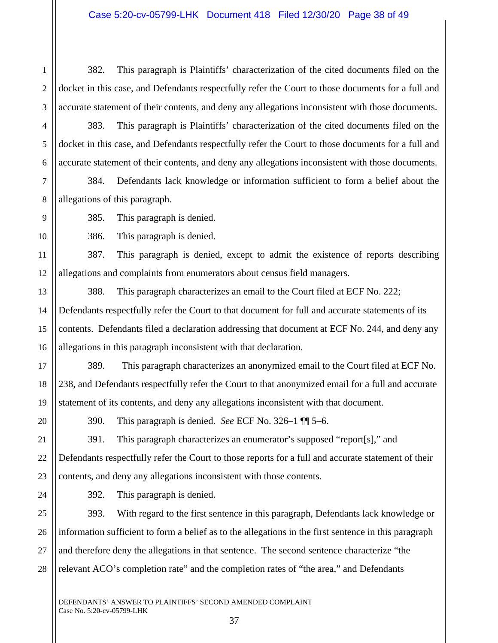2 3 382. This paragraph is Plaintiffs' characterization of the cited documents filed on the docket in this case, and Defendants respectfully refer the Court to those documents for a full and accurate statement of their contents, and deny any allegations inconsistent with those documents.

383. This paragraph is Plaintiffs' characterization of the cited documents filed on the docket in this case, and Defendants respectfully refer the Court to those documents for a full and accurate statement of their contents, and deny any allegations inconsistent with those documents.

384. Defendants lack knowledge or information sufficient to form a belief about the allegations of this paragraph.

385. This paragraph is denied.

386. This paragraph is denied.

11 12 387. This paragraph is denied, except to admit the existence of reports describing allegations and complaints from enumerators about census field managers.

13 14 15 16 388. This paragraph characterizes an email to the Court filed at ECF No. 222; Defendants respectfully refer the Court to that document for full and accurate statements of its contents. Defendants filed a declaration addressing that document at ECF No. 244, and deny any allegations in this paragraph inconsistent with that declaration.

389. This paragraph characterizes an anonymized email to the Court filed at ECF No. 238, and Defendants respectfully refer the Court to that anonymized email for a full and accurate statement of its contents, and deny any allegations inconsistent with that document.

17

18

19

20

21

22

23

1

4

5

6

7

8

9

10

390. This paragraph is denied. *See* ECF No. 326–1 ¶¶ 5–6.

391. This paragraph characterizes an enumerator's supposed "report[s]," and Defendants respectfully refer the Court to those reports for a full and accurate statement of their contents, and deny any allegations inconsistent with those contents.

24 25

27

392. This paragraph is denied.

26 28 393. With regard to the first sentence in this paragraph, Defendants lack knowledge or information sufficient to form a belief as to the allegations in the first sentence in this paragraph and therefore deny the allegations in that sentence. The second sentence characterize "the relevant ACO's completion rate" and the completion rates of "the area," and Defendants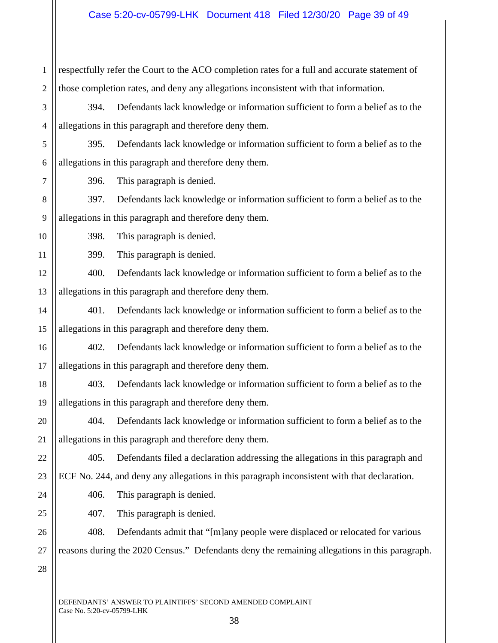| $\mathbf{1}$   | respectfully refer the Court to the ACO completion rates for a full and accurate statement of |  |  |
|----------------|-----------------------------------------------------------------------------------------------|--|--|
| $\overline{2}$ | those completion rates, and deny any allegations inconsistent with that information.          |  |  |
| 3              | Defendants lack knowledge or information sufficient to form a belief as to the<br>394.        |  |  |
| $\overline{4}$ | allegations in this paragraph and therefore deny them.                                        |  |  |
| 5              | Defendants lack knowledge or information sufficient to form a belief as to the<br>395.        |  |  |
| 6              | allegations in this paragraph and therefore deny them.                                        |  |  |
| $\tau$         | This paragraph is denied.<br>396.                                                             |  |  |
| 8              | Defendants lack knowledge or information sufficient to form a belief as to the<br>397.        |  |  |
| 9              | allegations in this paragraph and therefore deny them.                                        |  |  |
| 10             | This paragraph is denied.<br>398.                                                             |  |  |
| 11             | This paragraph is denied.<br>399.                                                             |  |  |
| 12             | 400.<br>Defendants lack knowledge or information sufficient to form a belief as to the        |  |  |
| 13             | allegations in this paragraph and therefore deny them.                                        |  |  |
| 14             | Defendants lack knowledge or information sufficient to form a belief as to the<br>401.        |  |  |
| 15             | allegations in this paragraph and therefore deny them.                                        |  |  |
| 16             | Defendants lack knowledge or information sufficient to form a belief as to the<br>402.        |  |  |
| 17             | allegations in this paragraph and therefore deny them.                                        |  |  |
| 18             | Defendants lack knowledge or information sufficient to form a belief as to the<br>403.        |  |  |
| 19             | allegations in this paragraph and therefore deny them.                                        |  |  |
| $20\,$         | 404. Defendants lack knowledge or information sufficient to form a belief as to the           |  |  |
| 21             | allegations in this paragraph and therefore deny them.                                        |  |  |
| 22             | 405.<br>Defendants filed a declaration addressing the allegations in this paragraph and       |  |  |
| 23             | ECF No. 244, and deny any allegations in this paragraph inconsistent with that declaration.   |  |  |
| 24             | 406.<br>This paragraph is denied.                                                             |  |  |
| 25             | 407.<br>This paragraph is denied.                                                             |  |  |
| 26             | 408.<br>Defendants admit that "[m]any people were displaced or relocated for various          |  |  |
| 27             | reasons during the 2020 Census." Defendants deny the remaining allegations in this paragraph. |  |  |
| 28             |                                                                                               |  |  |
|                |                                                                                               |  |  |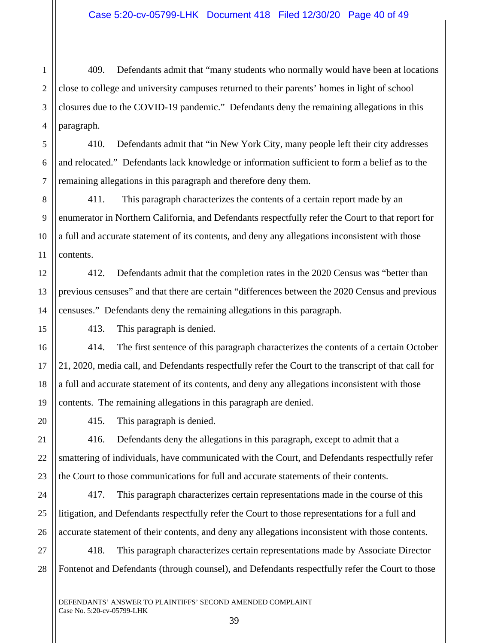1 2 3 4 409. Defendants admit that "many students who normally would have been at locations close to college and university campuses returned to their parents' homes in light of school closures due to the COVID-19 pandemic." Defendants deny the remaining allegations in this paragraph.

5 6 7 410. Defendants admit that "in New York City, many people left their city addresses and relocated." Defendants lack knowledge or information sufficient to form a belief as to the remaining allegations in this paragraph and therefore deny them.

8 9 10 11 411. This paragraph characterizes the contents of a certain report made by an enumerator in Northern California, and Defendants respectfully refer the Court to that report for a full and accurate statement of its contents, and deny any allegations inconsistent with those contents.

12 13 14 412. Defendants admit that the completion rates in the 2020 Census was "better than previous censuses" and that there are certain "differences between the 2020 Census and previous censuses." Defendants deny the remaining allegations in this paragraph.

413. This paragraph is denied.

414. The first sentence of this paragraph characterizes the contents of a certain October 21, 2020, media call, and Defendants respectfully refer the Court to the transcript of that call for a full and accurate statement of its contents, and deny any allegations inconsistent with those contents. The remaining allegations in this paragraph are denied.

415. This paragraph is denied.

416. Defendants deny the allegations in this paragraph, except to admit that a smattering of individuals, have communicated with the Court, and Defendants respectfully refer the Court to those communications for full and accurate statements of their contents.

24 25 26 417. This paragraph characterizes certain representations made in the course of this litigation, and Defendants respectfully refer the Court to those representations for a full and accurate statement of their contents, and deny any allegations inconsistent with those contents.

27 28 418. This paragraph characterizes certain representations made by Associate Director Fontenot and Defendants (through counsel), and Defendants respectfully refer the Court to those

39

15

16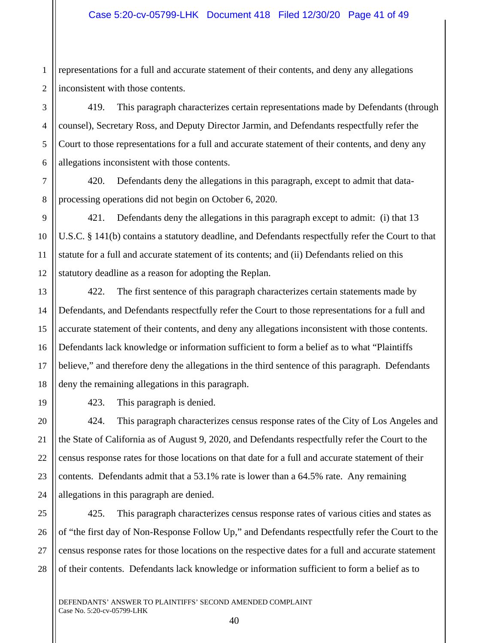1 2 representations for a full and accurate statement of their contents, and deny any allegations inconsistent with those contents.

419. This paragraph characterizes certain representations made by Defendants (through counsel), Secretary Ross, and Deputy Director Jarmin, and Defendants respectfully refer the Court to those representations for a full and accurate statement of their contents, and deny any allegations inconsistent with those contents.

420. Defendants deny the allegations in this paragraph, except to admit that dataprocessing operations did not begin on October 6, 2020.

9 10 11 12 421. Defendants deny the allegations in this paragraph except to admit: (i) that 13 U.S.C. § 141(b) contains a statutory deadline, and Defendants respectfully refer the Court to that statute for a full and accurate statement of its contents; and (ii) Defendants relied on this statutory deadline as a reason for adopting the Replan.

13 14 15 16 17 18 422. The first sentence of this paragraph characterizes certain statements made by Defendants, and Defendants respectfully refer the Court to those representations for a full and accurate statement of their contents, and deny any allegations inconsistent with those contents. Defendants lack knowledge or information sufficient to form a belief as to what "Plaintiffs believe," and therefore deny the allegations in the third sentence of this paragraph. Defendants deny the remaining allegations in this paragraph.

423. This paragraph is denied.

3

4

5

6

7

8

19

20

21

22

23

24

424. This paragraph characterizes census response rates of the City of Los Angeles and the State of California as of August 9, 2020, and Defendants respectfully refer the Court to the census response rates for those locations on that date for a full and accurate statement of their contents. Defendants admit that a 53.1% rate is lower than a 64.5% rate. Any remaining allegations in this paragraph are denied.

25 26 27 28 425. This paragraph characterizes census response rates of various cities and states as of "the first day of Non-Response Follow Up," and Defendants respectfully refer the Court to the census response rates for those locations on the respective dates for a full and accurate statement of their contents. Defendants lack knowledge or information sufficient to form a belief as to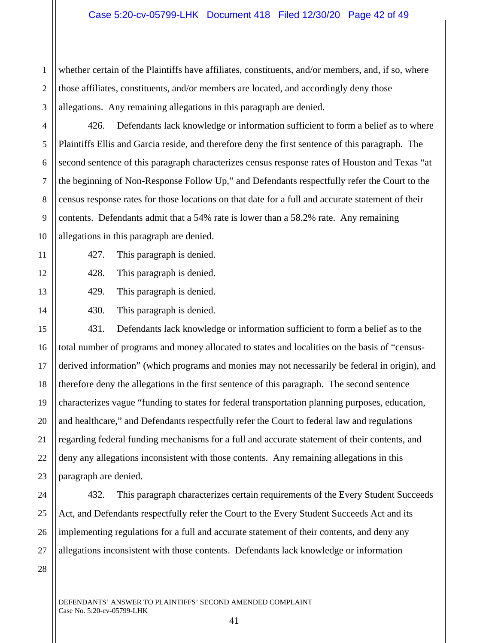1 2 3 whether certain of the Plaintiffs have affiliates, constituents, and/or members, and, if so, where those affiliates, constituents, and/or members are located, and accordingly deny those allegations. Any remaining allegations in this paragraph are denied.

426. Defendants lack knowledge or information sufficient to form a belief as to where Plaintiffs Ellis and Garcia reside, and therefore deny the first sentence of this paragraph. The second sentence of this paragraph characterizes census response rates of Houston and Texas "at the beginning of Non-Response Follow Up," and Defendants respectfully refer the Court to the census response rates for those locations on that date for a full and accurate statement of their contents. Defendants admit that a 54% rate is lower than a 58.2% rate. Any remaining allegations in this paragraph are denied.

4

5

6

7

8

9

10

11

12

13

14

- 427. This paragraph is denied.
- 428. This paragraph is denied.
- 429. This paragraph is denied.
- 430. This paragraph is denied.

15 16 17 18 19 20 21 22 23 431. Defendants lack knowledge or information sufficient to form a belief as to the total number of programs and money allocated to states and localities on the basis of "censusderived information" (which programs and monies may not necessarily be federal in origin), and therefore deny the allegations in the first sentence of this paragraph. The second sentence characterizes vague "funding to states for federal transportation planning purposes, education, and healthcare," and Defendants respectfully refer the Court to federal law and regulations regarding federal funding mechanisms for a full and accurate statement of their contents, and deny any allegations inconsistent with those contents. Any remaining allegations in this paragraph are denied.

432. This paragraph characterizes certain requirements of the Every Student Succeeds Act, and Defendants respectfully refer the Court to the Every Student Succeeds Act and its implementing regulations for a full and accurate statement of their contents, and deny any allegations inconsistent with those contents. Defendants lack knowledge or information

28

24

25

26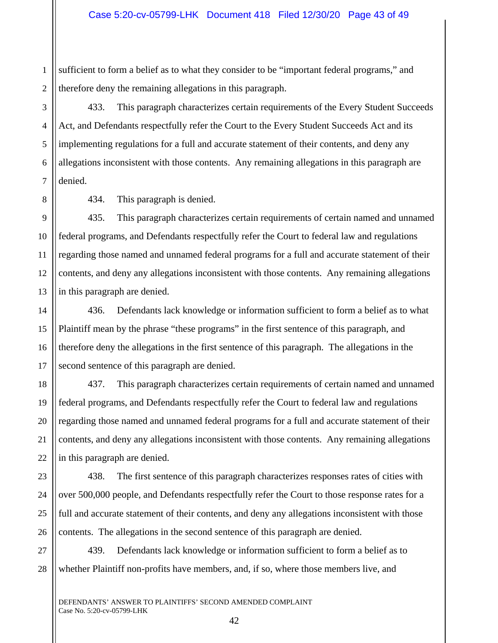1 2 sufficient to form a belief as to what they consider to be "important federal programs," and therefore deny the remaining allegations in this paragraph.

433. This paragraph characterizes certain requirements of the Every Student Succeeds Act, and Defendants respectfully refer the Court to the Every Student Succeeds Act and its implementing regulations for a full and accurate statement of their contents, and deny any allegations inconsistent with those contents. Any remaining allegations in this paragraph are denied.

8 9

3

4

5

6

7

10

11

14

15

16

17

18

19

20

21

22

23

24

25

26

434. This paragraph is denied.

12 13 435. This paragraph characterizes certain requirements of certain named and unnamed federal programs, and Defendants respectfully refer the Court to federal law and regulations regarding those named and unnamed federal programs for a full and accurate statement of their contents, and deny any allegations inconsistent with those contents. Any remaining allegations in this paragraph are denied.

436. Defendants lack knowledge or information sufficient to form a belief as to what Plaintiff mean by the phrase "these programs" in the first sentence of this paragraph, and therefore deny the allegations in the first sentence of this paragraph. The allegations in the second sentence of this paragraph are denied.

437. This paragraph characterizes certain requirements of certain named and unnamed federal programs, and Defendants respectfully refer the Court to federal law and regulations regarding those named and unnamed federal programs for a full and accurate statement of their contents, and deny any allegations inconsistent with those contents. Any remaining allegations in this paragraph are denied.

438. The first sentence of this paragraph characterizes responses rates of cities with over 500,000 people, and Defendants respectfully refer the Court to those response rates for a full and accurate statement of their contents, and deny any allegations inconsistent with those contents. The allegations in the second sentence of this paragraph are denied.

27 28 439. Defendants lack knowledge or information sufficient to form a belief as to whether Plaintiff non-profits have members, and, if so, where those members live, and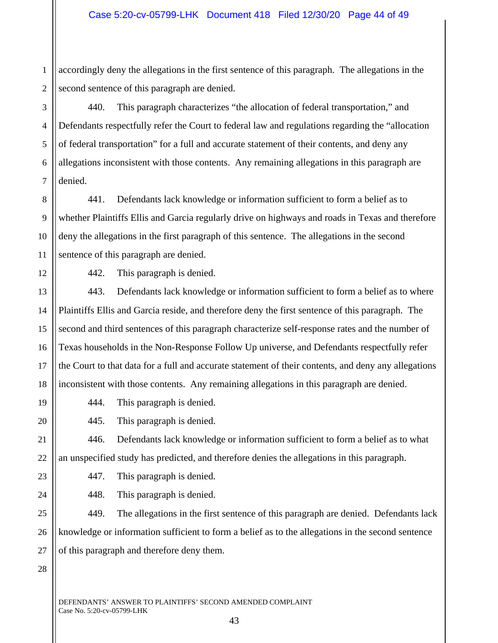1 2 accordingly deny the allegations in the first sentence of this paragraph. The allegations in the second sentence of this paragraph are denied.

3 4 5 6 7 440. This paragraph characterizes "the allocation of federal transportation," and Defendants respectfully refer the Court to federal law and regulations regarding the "allocation of federal transportation" for a full and accurate statement of their contents, and deny any allegations inconsistent with those contents. Any remaining allegations in this paragraph are denied.

441. Defendants lack knowledge or information sufficient to form a belief as to whether Plaintiffs Ellis and Garcia regularly drive on highways and roads in Texas and therefore deny the allegations in the first paragraph of this sentence. The allegations in the second sentence of this paragraph are denied.

8

9

10

11

12

13

14

15

16

17

18

19

20

21

22

23

24

25

26

27

442. This paragraph is denied.

443. Defendants lack knowledge or information sufficient to form a belief as to where Plaintiffs Ellis and Garcia reside, and therefore deny the first sentence of this paragraph. The second and third sentences of this paragraph characterize self-response rates and the number of Texas households in the Non-Response Follow Up universe, and Defendants respectfully refer the Court to that data for a full and accurate statement of their contents, and deny any allegations inconsistent with those contents. Any remaining allegations in this paragraph are denied.

444. This paragraph is denied.

445. This paragraph is denied.

446. Defendants lack knowledge or information sufficient to form a belief as to what an unspecified study has predicted, and therefore denies the allegations in this paragraph.

447. This paragraph is denied.

448. This paragraph is denied.

43

449. The allegations in the first sentence of this paragraph are denied. Defendants lack knowledge or information sufficient to form a belief as to the allegations in the second sentence of this paragraph and therefore deny them.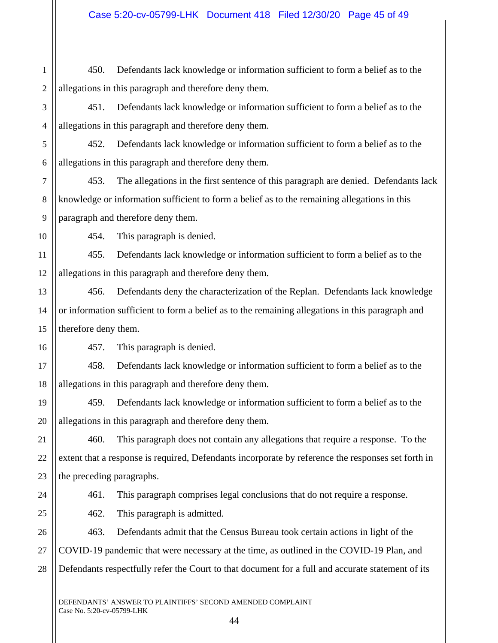| $\mathbf{1}$   | 450.                                                                                               | Defendants lack knowledge or information sufficient to form a belief as to the               |  |
|----------------|----------------------------------------------------------------------------------------------------|----------------------------------------------------------------------------------------------|--|
| $\overline{c}$ | allegations in this paragraph and therefore deny them.                                             |                                                                                              |  |
| 3              | Defendants lack knowledge or information sufficient to form a belief as to the<br>451.             |                                                                                              |  |
| $\overline{4}$ | allegations in this paragraph and therefore deny them.                                             |                                                                                              |  |
| 5              | 452.                                                                                               | Defendants lack knowledge or information sufficient to form a belief as to the               |  |
| 6              | allegations in this paragraph and therefore deny them.                                             |                                                                                              |  |
| $\overline{7}$ | 453.                                                                                               | The allegations in the first sentence of this paragraph are denied. Defendants lack          |  |
| 8              |                                                                                                    | knowledge or information sufficient to form a belief as to the remaining allegations in this |  |
| 9              | paragraph and therefore deny them.                                                                 |                                                                                              |  |
| 10             | 454.                                                                                               | This paragraph is denied.                                                                    |  |
| 11             | 455.                                                                                               | Defendants lack knowledge or information sufficient to form a belief as to the               |  |
| 12             | allegations in this paragraph and therefore deny them.                                             |                                                                                              |  |
| 13             | 456.                                                                                               | Defendants deny the characterization of the Replan. Defendants lack knowledge                |  |
| 14             | or information sufficient to form a belief as to the remaining allegations in this paragraph and   |                                                                                              |  |
| 15             | therefore deny them.                                                                               |                                                                                              |  |
| 16             | 457.                                                                                               | This paragraph is denied.                                                                    |  |
| 17             | 458.                                                                                               | Defendants lack knowledge or information sufficient to form a belief as to the               |  |
| 18             |                                                                                                    | allegations in this paragraph and therefore deny them.                                       |  |
| 19             | 459.                                                                                               | Defendants lack knowledge or information sufficient to form a belief as to the               |  |
| 20             |                                                                                                    | allegations in this paragraph and therefore deny them.                                       |  |
| 21             | 460.                                                                                               | This paragraph does not contain any allegations that require a response. To the              |  |
| 22             | extent that a response is required, Defendants incorporate by reference the responses set forth in |                                                                                              |  |
| 23             | the preceding paragraphs.                                                                          |                                                                                              |  |
| 24             | 461.                                                                                               | This paragraph comprises legal conclusions that do not require a response.                   |  |
| 25             | 462.                                                                                               | This paragraph is admitted.                                                                  |  |
| 26             | 463.                                                                                               | Defendants admit that the Census Bureau took certain actions in light of the                 |  |
| 27             | COVID-19 pandemic that were necessary at the time, as outlined in the COVID-19 Plan, and           |                                                                                              |  |
| 28             | Defendants respectfully refer the Court to that document for a full and accurate statement of its  |                                                                                              |  |
|                |                                                                                                    |                                                                                              |  |

DEFENDANTS' ANSWER TO PLAINTIFFS' SECOND AMENDED COMPLAINT Case No. 5:20-cv-05799-LHK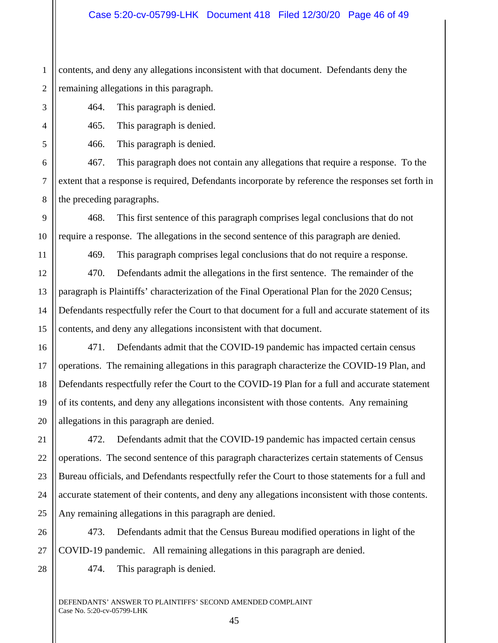1 2 contents, and deny any allegations inconsistent with that document. Defendants deny the remaining allegations in this paragraph.

464. This paragraph is denied.

465. This paragraph is denied.

466. This paragraph is denied.

467. This paragraph does not contain any allegations that require a response. To the extent that a response is required, Defendants incorporate by reference the responses set forth in the preceding paragraphs.

468. This first sentence of this paragraph comprises legal conclusions that do not require a response. The allegations in the second sentence of this paragraph are denied.

469. This paragraph comprises legal conclusions that do not require a response.

470. Defendants admit the allegations in the first sentence. The remainder of the paragraph is Plaintiffs' characterization of the Final Operational Plan for the 2020 Census; Defendants respectfully refer the Court to that document for a full and accurate statement of its contents, and deny any allegations inconsistent with that document.

471. Defendants admit that the COVID-19 pandemic has impacted certain census operations. The remaining allegations in this paragraph characterize the COVID-19 Plan, and Defendants respectfully refer the Court to the COVID-19 Plan for a full and accurate statement of its contents, and deny any allegations inconsistent with those contents. Any remaining allegations in this paragraph are denied.

472. Defendants admit that the COVID-19 pandemic has impacted certain census operations. The second sentence of this paragraph characterizes certain statements of Census Bureau officials, and Defendants respectfully refer the Court to those statements for a full and accurate statement of their contents, and deny any allegations inconsistent with those contents. Any remaining allegations in this paragraph are denied.

473. Defendants admit that the Census Bureau modified operations in light of the COVID-19 pandemic. All remaining allegations in this paragraph are denied.

474. This paragraph is denied.

45

DEFENDANTS' ANSWER TO PLAINTIFFS' SECOND AMENDED COMPLAINT Case No. 5:20-cv-05799-LHK

3

4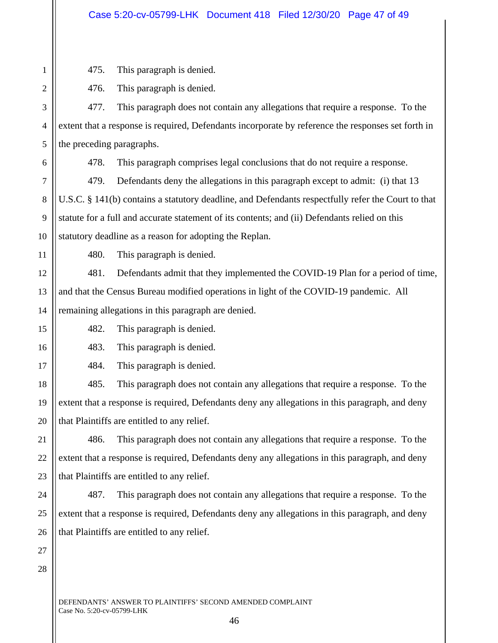475. This paragraph is denied.

476. This paragraph is denied.

477. This paragraph does not contain any allegations that require a response. To the extent that a response is required, Defendants incorporate by reference the responses set forth in the preceding paragraphs.

478. This paragraph comprises legal conclusions that do not require a response.

479. Defendants deny the allegations in this paragraph except to admit: (i) that 13 U.S.C. § 141(b) contains a statutory deadline, and Defendants respectfully refer the Court to that statute for a full and accurate statement of its contents; and (ii) Defendants relied on this statutory deadline as a reason for adopting the Replan.

480. This paragraph is denied.

481. Defendants admit that they implemented the COVID-19 Plan for a period of time, and that the Census Bureau modified operations in light of the COVID-19 pandemic. All remaining allegations in this paragraph are denied.

482. This paragraph is denied.

483. This paragraph is denied.

484. This paragraph is denied.

485. This paragraph does not contain any allegations that require a response. To the extent that a response is required, Defendants deny any allegations in this paragraph, and deny that Plaintiffs are entitled to any relief.

486. This paragraph does not contain any allegations that require a response. To the extent that a response is required, Defendants deny any allegations in this paragraph, and deny that Plaintiffs are entitled to any relief.

487. This paragraph does not contain any allegations that require a response. To the extent that a response is required, Defendants deny any allegations in this paragraph, and deny that Plaintiffs are entitled to any relief.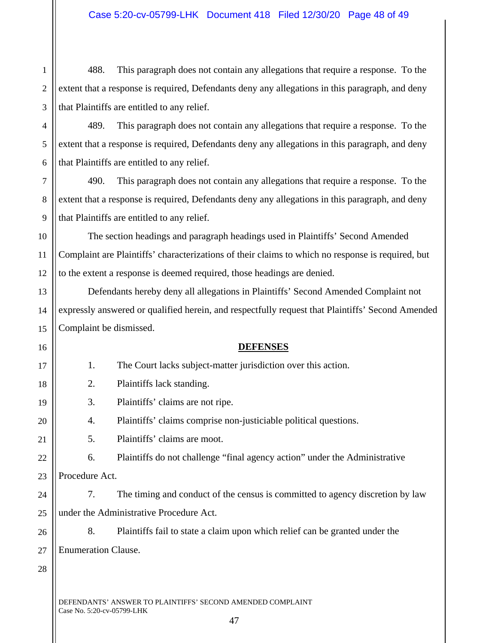1 2 3 488. This paragraph does not contain any allegations that require a response. To the extent that a response is required, Defendants deny any allegations in this paragraph, and deny that Plaintiffs are entitled to any relief.

- 6 489. This paragraph does not contain any allegations that require a response. To the extent that a response is required, Defendants deny any allegations in this paragraph, and deny that Plaintiffs are entitled to any relief.
	- 490. This paragraph does not contain any allegations that require a response. To the extent that a response is required, Defendants deny any allegations in this paragraph, and deny that Plaintiffs are entitled to any relief.
- The section headings and paragraph headings used in Plaintiffs' Second Amended Complaint are Plaintiffs' characterizations of their claims to which no response is required, but to the extent a response is deemed required, those headings are denied.
- Defendants hereby deny all allegations in Plaintiffs' Second Amended Complaint not expressly answered or qualified herein, and respectfully request that Plaintiffs' Second Amended Complaint be dismissed.

**DEFENSES** 

DEFENDANTS' ANSWER TO PLAINTIFFS' SECOND AMENDED COMPLAINT Case No. 5:20-cv-05799-LHK 47 17 18 19 20 21 22 23 24 25 26 27 28 1. The Court lacks subject-matter jurisdiction over this action. 2. Plaintiffs lack standing. 3. Plaintiffs' claims are not ripe. 4. Plaintiffs' claims comprise non-justiciable political questions. 5. Plaintiffs' claims are moot. 6. Plaintiffs do not challenge "final agency action" under the Administrative Procedure Act. 7. The timing and conduct of the census is committed to agency discretion by law under the Administrative Procedure Act. 8. Plaintiffs fail to state a claim upon which relief can be granted under the Enumeration Clause.